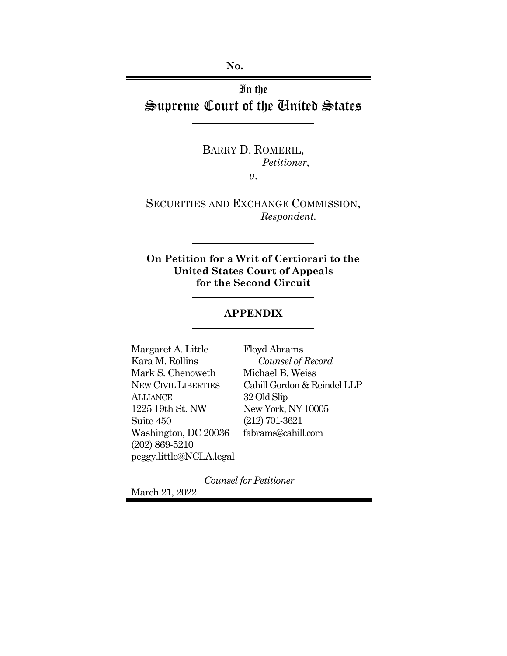**No. \_\_\_\_\_** 

In the Supreme Court of the United States

> BARRY D. ROMERIL,  *Petitioner*,

> > *v*.

SECURITIES AND EXCHANGE COMMISSION,  *Respondent.* 

**On Petition for a Writ of Certiorari to the United States Court of Appeals for the Second Circuit** 

### **APPENDIX**

Margaret A. Little Kara M. Rollins Mark S. Chenoweth NEW CIVIL LIBERTIES **ALLIANCE** 1225 19th St. NW Suite 450 Washington, DC 20036 (202) 869-5210 peggy.little@NCLA.legal 32 Old Slip

Floyd Abrams  *Counsel of Record* Michael B. Weiss Cahill Gordon & Reindel LLP New York, NY 10005 (212) 701-3621 fabrams@cahill.com

*Counsel for Petitioner*

March 21, 2022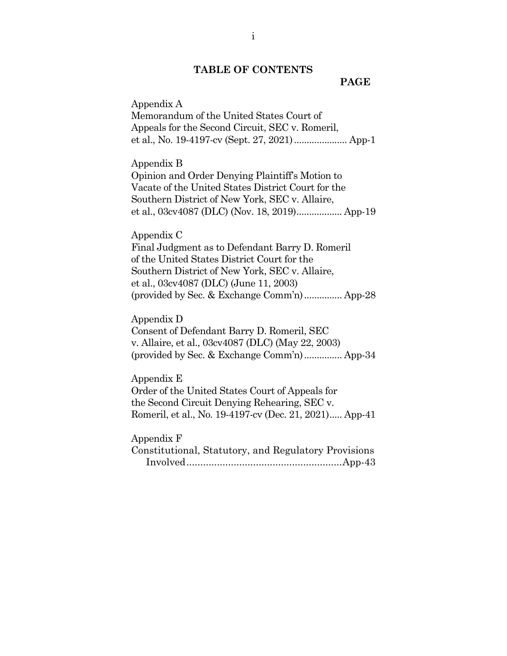# **TABLE OF CONTENTS**

#### **PAGE**

Appendix A Memorandum of the United States Court of Appeals for the Second Circuit, SEC v. Romeril, et al., No. 19-4197-cv (Sept. 27, 2021) ..................... App-1

Appendix B

Opinion and Order Denying Plaintiff's Motion to Vacate of the United States District Court for the Southern District of New York, SEC v. Allaire, et al., 03cv4087 (DLC) (Nov. 18, 2019) .................. App-19

#### Appendix C

Final Judgment as to Defendant Barry D. Romeril of the United States District Court for the Southern District of New York, SEC v. Allaire, et al., 03cv4087 (DLC) (June 11, 2003) (provided by Sec. & Exchange Comm'n) ............... App-28

#### Appendix D

Consent of Defendant Barry D. Romeril, SEC v. Allaire, et al., 03cv4087 (DLC) (May 22, 2003) (provided by Sec. & Exchange Comm'n) ............... App-34

#### Appendix E

Order of the United States Court of Appeals for the Second Circuit Denying Rehearing, SEC v. Romeril, et al., No. 19-4197-cv (Dec. 21, 2021) ..... App-41

#### Appendix F

Constitutional, Statutory, and Regulatory Provisions Involved ........................................................ App-43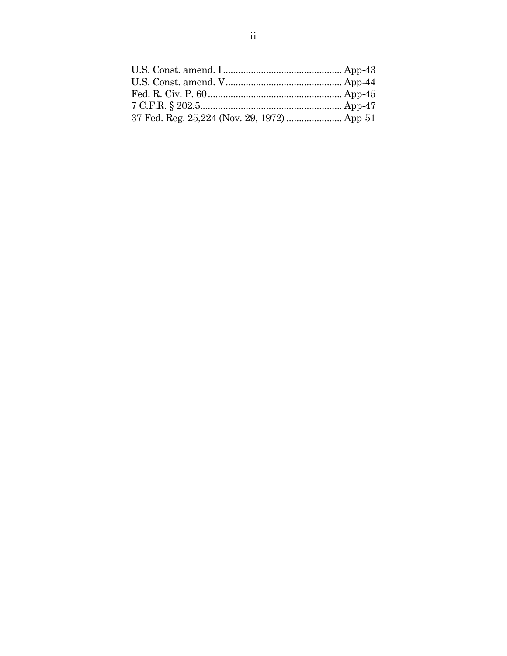| 37 Fed. Reg. 25,224 (Nov. 29, 1972)  App-51 |  |
|---------------------------------------------|--|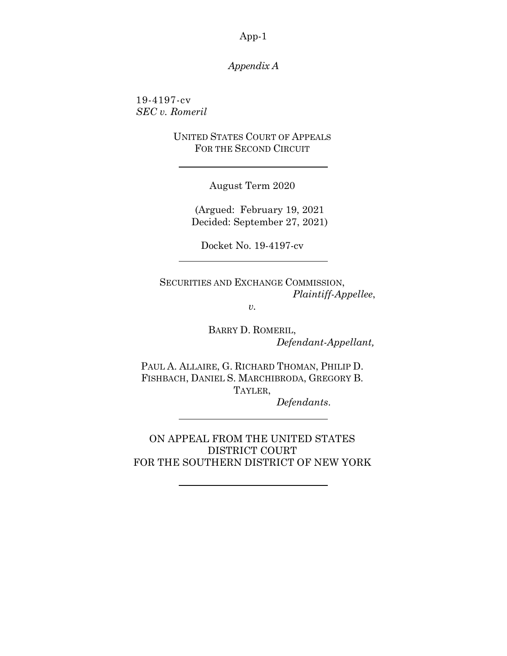# *Appendix A*

19-4197-cv *SEC v. Romeril*

> UNITED STATES COURT OF APPEALS FOR THE SECOND CIRCUIT

> > August Term 2020

(Argued: February 19, 2021 Decided: September 27, 2021)

Docket No. 19-4197-cv

SECURITIES AND EXCHANGE COMMISSION, *Plaintiff-Appellee*,

*v.*

BARRY D. ROMERIL, *Defendant-Appellant,*

PAUL A. ALLAIRE, G. RICHARD THOMAN, PHILIP D. FISHBACH, DANIEL S. MARCHIBRODA, GREGORY B. TAYLER,

*Defendants*.

ON APPEAL FROM THE UNITED STATES DISTRICT COURT FOR THE SOUTHERN DISTRICT OF NEW YORK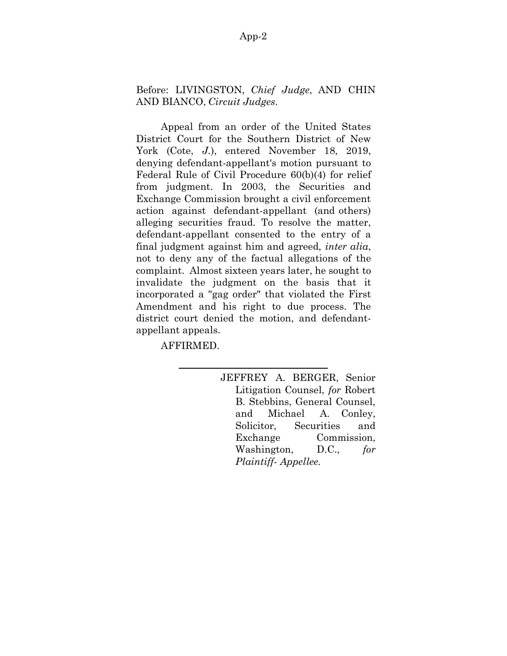# Before: LIVINGSTON, *Chief Judge*, AND CHIN AND BIANCO, *Circuit Judges*.

Appeal from an order of the United States District Court for the Southern District of New York (Cote, *J.*), entered November 18, 2019, denying defendant-appellant's motion pursuant to Federal Rule of Civil Procedure 60(b)(4) for relief from judgment. In 2003, the Securities and Exchange Commission brought a civil enforcement action against defendant-appellant (and others) alleging securities fraud. To resolve the matter, defendant-appellant consented to the entry of a final judgment against him and agreed, *inter alia*, not to deny any of the factual allegations of the complaint. Almost sixteen years later, he sought to invalidate the judgment on the basis that it incorporated a "gag order" that violated the First Amendment and his right to due process. The district court denied the motion, and defendantappellant appeals.

AFFIRMED.

JEFFREY A. BERGER, Senior Litigation Counsel, *for* Robert B. Stebbins, General Counsel, and Michael A. Conley, Solicitor, Securities and Exchange Commission, Washington, D.C., *for Plaintiff- Appellee.*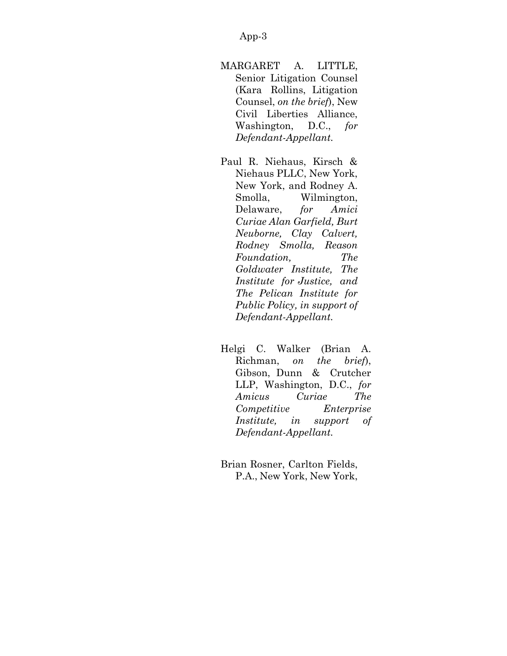- MARGARET A. LITTLE, Senior Litigation Counsel (Kara Rollins, Litigation Counsel, *on the brief*), New Civil Liberties Alliance, Washington, D.C., *for Defendant-Appellant.*
- Paul R. Niehaus, Kirsch & Niehaus PLLC, New York, New York, and Rodney A. Smolla, Wilmington, Delaware, *for Amici Curiae Alan Garfield, Burt Neuborne, Clay Calvert, Rodney Smolla, Reason Foundation, The Goldwater Institute, The Institute for Justice, and The Pelican Institute for Public Policy, in support of Defendant-Appellant.*
- Helgi C. Walker (Brian A. Richman, *on the brief*), Gibson, Dunn & Crutcher LLP, Washington, D.C., *for Amicus Curiae The Competitive Enterprise Institute, in support of Defendant-Appellant.*
- Brian Rosner, Carlton Fields, P.A., New York, New York,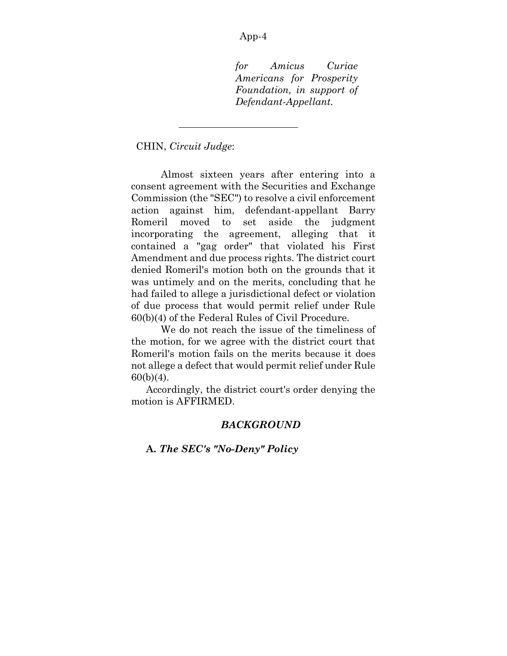*for Amicus Curiae Americans for Prosperity Foundation, in support of Defendant-Appellant.*

### CHIN, *Circuit Judge*:

Almost sixteen years after entering into a consent agreement with the Securities and Exchange Commission (the "SEC") to resolve a civil enforcement action against him, defendant-appellant Barry Romeril moved to set aside the judgment incorporating the agreement, alleging that it contained a "gag order" that violated his First Amendment and due process rights. The district court denied Romeril's motion both on the grounds that it was untimely and on the merits, concluding that he had failed to allege a jurisdictional defect or violation of due process that would permit relief under Rule 60(b)(4) of the Federal Rules of Civil Procedure.

We do not reach the issue of the timeliness of the motion, for we agree with the district court that Romeril's motion fails on the merits because it does not allege a defect that would permit relief under Rule  $60(b)(4)$ .

Accordingly, the district court's order denying the motion is AFFIRMED.

# *BACKGROUND*

**A.** *The SEC's "No-Deny" Policy*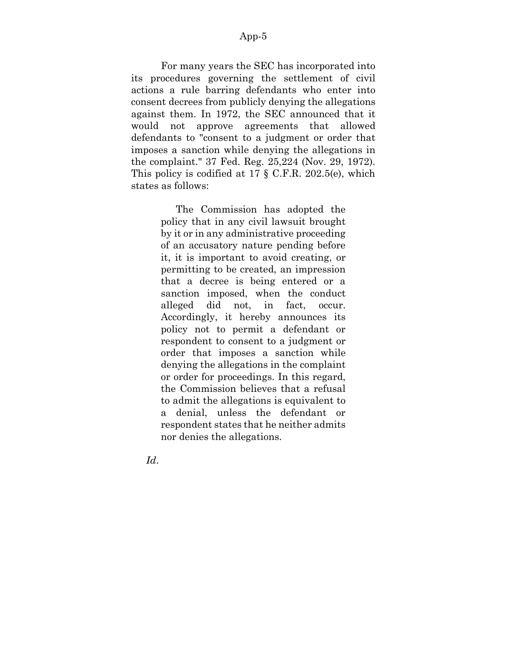For many years the SEC has incorporated into its procedures governing the settlement of civil actions a rule barring defendants who enter into consent decrees from publicly denying the allegations against them. In 1972, the SEC announced that it would not approve agreements that allowed defendants to "consent to a judgment or order that imposes a sanction while denying the allegations in the complaint." 37 Fed. Reg. 25,224 (Nov. 29, 1972). This policy is codified at 17 § C.F.R. 202.5(e), which states as follows:

> The Commission has adopted the policy that in any civil lawsuit brought by it or in any administrative proceeding of an accusatory nature pending before it, it is important to avoid creating, or permitting to be created, an impression that a decree is being entered or a sanction imposed, when the conduct alleged did not, in fact, occur. Accordingly, it hereby announces its policy not to permit a defendant or respondent to consent to a judgment or order that imposes a sanction while denying the allegations in the complaint or order for proceedings. In this regard, the Commission believes that a refusal to admit the allegations is equivalent to a denial, unless the defendant or respondent states that he neither admits nor denies the allegations.

*Id*.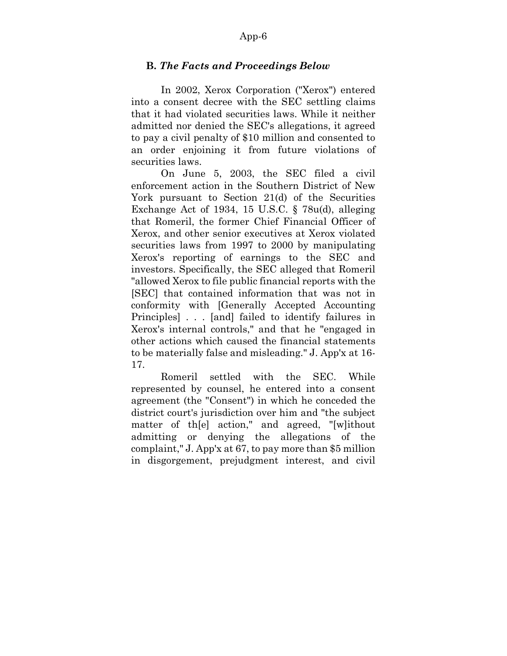# **B.** *The Facts and Proceedings Below*

In 2002, Xerox Corporation ("Xerox") entered into a consent decree with the SEC settling claims that it had violated securities laws. While it neither admitted nor denied the SEC's allegations, it agreed to pay a civil penalty of \$10 million and consented to an order enjoining it from future violations of securities laws.

On June 5, 2003, the SEC filed a civil enforcement action in the Southern District of New York pursuant to Section 21(d) of the Securities Exchange Act of 1934, 15 U.S.C. § 78u(d), alleging that Romeril, the former Chief Financial Officer of Xerox, and other senior executives at Xerox violated securities laws from 1997 to 2000 by manipulating Xerox's reporting of earnings to the SEC and investors. Specifically, the SEC alleged that Romeril "allowed Xerox to file public financial reports with the [SEC] that contained information that was not in conformity with [Generally Accepted Accounting Principles] . . . [and] failed to identify failures in Xerox's internal controls," and that he "engaged in other actions which caused the financial statements to be materially false and misleading." J. App'x at 16- 17.

Romeril settled with the SEC. While represented by counsel, he entered into a consent agreement (the "Consent") in which he conceded the district court's jurisdiction over him and "the subject matter of th[e] action," and agreed, "[w]ithout admitting or denying the allegations of the complaint," J. App'x at 67, to pay more than \$5 million in disgorgement, prejudgment interest, and civil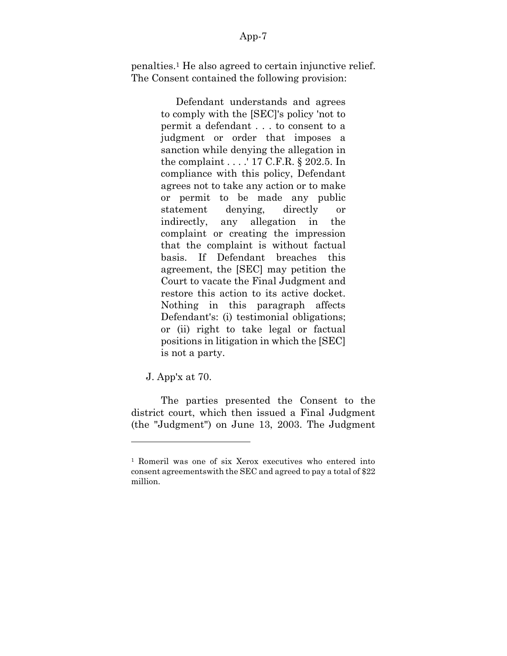penalties.<sup>1</sup> He also agreed to certain injunctive relief. The Consent contained the following provision:

> Defendant understands and agrees to comply with the [SEC]'s policy 'not to permit a defendant . . . to consent to a judgment or order that imposes a sanction while denying the allegation in the complaint . . . .' 17 C.F.R. § 202.5. In compliance with this policy, Defendant agrees not to take any action or to make or permit to be made any public statement denying, directly or indirectly, any allegation in the complaint or creating the impression that the complaint is without factual basis. If Defendant breaches this agreement, the [SEC] may petition the Court to vacate the Final Judgment and restore this action to its active docket. Nothing in this paragraph affects Defendant's: (i) testimonial obligations; or (ii) right to take legal or factual positions in litigation in which the [SEC] is not a party.

J. App'x at 70.

The parties presented the Consent to the district court, which then issued a Final Judgment (the "Judgment") on June 13, 2003. The Judgment

<sup>1</sup> Romeril was one of six Xerox executives who entered into consent agreementswith the SEC and agreed to pay a total of \$22 million.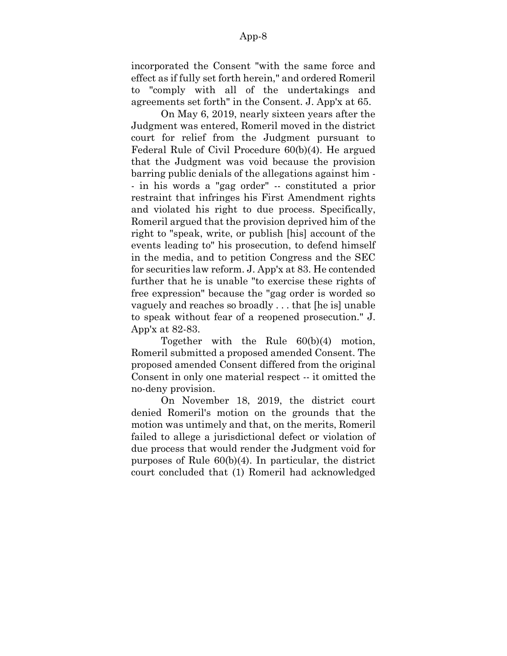incorporated the Consent "with the same force and effect as if fully set forth herein," and ordered Romeril to "comply with all of the undertakings and agreements set forth" in the Consent. J. App'x at 65.

On May 6, 2019, nearly sixteen years after the Judgment was entered, Romeril moved in the district court for relief from the Judgment pursuant to Federal Rule of Civil Procedure 60(b)(4). He argued that the Judgment was void because the provision barring public denials of the allegations against him - - in his words a "gag order" -- constituted a prior restraint that infringes his First Amendment rights and violated his right to due process. Specifically, Romeril argued that the provision deprived him of the right to "speak, write, or publish [his] account of the events leading to" his prosecution, to defend himself in the media, and to petition Congress and the SEC for securities law reform. J. App'x at 83. He contended further that he is unable "to exercise these rights of free expression" because the "gag order is worded so vaguely and reaches so broadly . . . that [he is] unable to speak without fear of a reopened prosecution." J. App'x at 82-83.

Together with the Rule 60(b)(4) motion, Romeril submitted a proposed amended Consent. The proposed amended Consent differed from the original Consent in only one material respect -- it omitted the no-deny provision.

On November 18, 2019, the district court denied Romeril's motion on the grounds that the motion was untimely and that, on the merits, Romeril failed to allege a jurisdictional defect or violation of due process that would render the Judgment void for purposes of Rule 60(b)(4). In particular, the district court concluded that (1) Romeril had acknowledged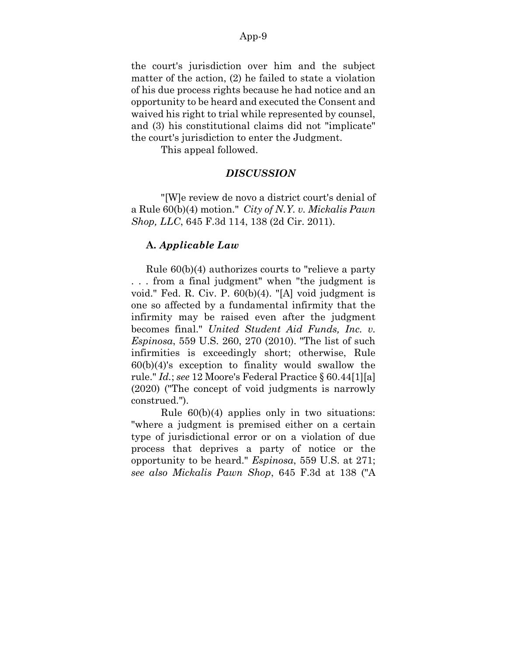the court's jurisdiction over him and the subject matter of the action, (2) he failed to state a violation of his due process rights because he had notice and an opportunity to be heard and executed the Consent and waived his right to trial while represented by counsel, and (3) his constitutional claims did not "implicate" the court's jurisdiction to enter the Judgment.

This appeal followed.

### *DISCUSSION*

"[W]e review de novo a district court's denial of a Rule 60(b)(4) motion." *City of N.Y. v. Mickalis Pawn Shop, LLC*, 645 F.3d 114, 138 (2d Cir. 2011).

### **A.** *Applicable Law*

Rule 60(b)(4) authorizes courts to "relieve a party . . . from a final judgment" when "the judgment is void." Fed. R. Civ. P. 60(b)(4). "[A] void judgment is one so affected by a fundamental infirmity that the infirmity may be raised even after the judgment becomes final." *United Student Aid Funds, Inc. v. Espinosa*, 559 U.S. 260, 270 (2010). "The list of such infirmities is exceedingly short; otherwise, Rule 60(b)(4)'s exception to finality would swallow the rule." *Id.*; *see* 12 Moore's Federal Practice § 60.44[1][a] (2020) ("The concept of void judgments is narrowly construed.").

Rule 60(b)(4) applies only in two situations: "where a judgment is premised either on a certain type of jurisdictional error or on a violation of due process that deprives a party of notice or the opportunity to be heard." *Espinosa*, 559 U.S. at 271; *see also Mickalis Pawn Shop*, 645 F.3d at 138 ("A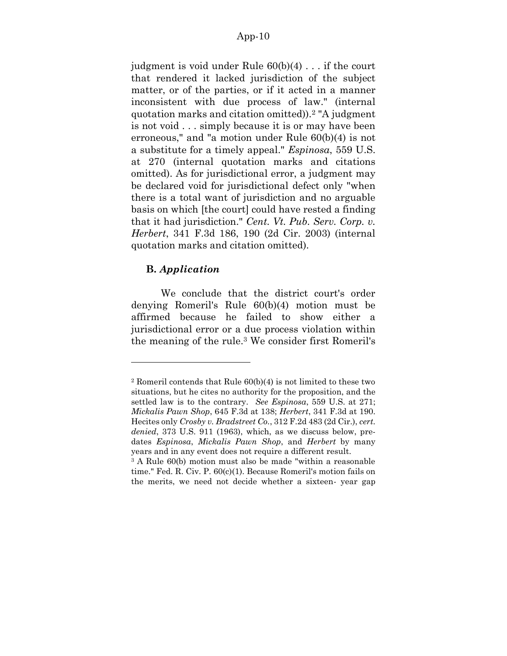judgment is void under Rule 60(b)(4) . . . if the court that rendered it lacked jurisdiction of the subject matter, or of the parties, or if it acted in a manner inconsistent with due process of law." (internal quotation marks and citation omitted)).<sup>2</sup> "A judgment is not void . . . simply because it is or may have been erroneous," and "a motion under Rule 60(b)(4) is not a substitute for a timely appeal." *Espinosa*, 559 U.S. at 270 (internal quotation marks and citations omitted). As for jurisdictional error, a judgment may be declared void for jurisdictional defect only "when there is a total want of jurisdiction and no arguable basis on which [the court] could have rested a finding that it had jurisdiction." *Cent. Vt. Pub. Serv. Corp. v. Herbert*, 341 F.3d 186, 190 (2d Cir. 2003) (internal quotation marks and citation omitted).

# **B.** *Application*

We conclude that the district court's order denying Romeril's Rule 60(b)(4) motion must be affirmed because he failed to show either a jurisdictional error or a due process violation within the meaning of the rule.<sup>3</sup> We consider first Romeril's

<sup>2</sup> Romeril contends that Rule 60(b)(4) is not limited to these two situations, but he cites no authority for the proposition, and the settled law is to the contrary. *See Espinosa*, 559 U.S. at 271; *Mickalis Pawn Shop*, 645 F.3d at 138; *Herbert*, 341 F.3d at 190. Hecites only *Crosby v. Bradstreet Co.*, 312 F.2d 483 (2d Cir.), *cert. denied*, 373 U.S. 911 (1963), which, as we discuss below, predates *Espinosa*, *Mickalis Pawn Shop*, and *Herbert* by many years and in any event does not require a different result.

<sup>3</sup> A Rule 60(b) motion must also be made "within a reasonable time." Fed. R. Civ. P. 60(c)(1). Because Romeril's motion fails on the merits, we need not decide whether a sixteen- year gap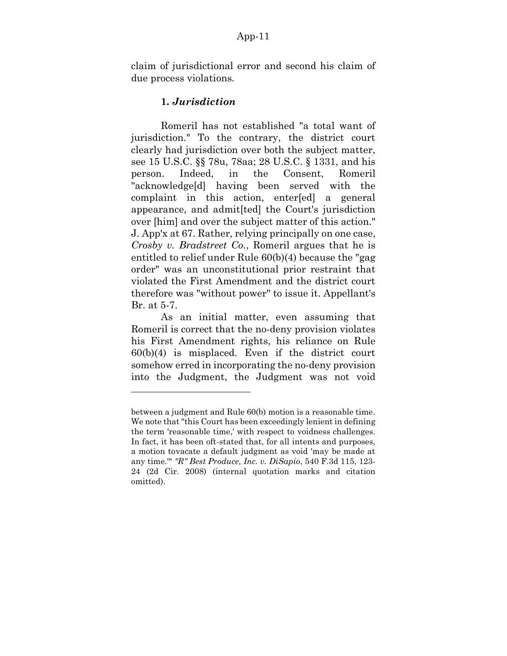claim of jurisdictional error and second his claim of due process violations.

# **1.** *Jurisdiction*

Romeril has not established "a total want of jurisdiction." To the contrary, the district court clearly had jurisdiction over both the subject matter, see 15 U.S.C. §§ 78u, 78aa; 28 U.S.C. § 1331, and his person. Indeed, in the Consent, Romeril "acknowledge[d] having been served with the complaint in this action, enter[ed] a general appearance, and admit[ted] the Court's jurisdiction over [him] and over the subject matter of this action." J. App'x at 67. Rather, relying principally on one case, *Crosby v. Bradstreet Co.*, Romeril argues that he is entitled to relief under Rule 60(b)(4) because the "gag order" was an unconstitutional prior restraint that violated the First Amendment and the district court therefore was "without power" to issue it. Appellant's Br. at 5-7.

As an initial matter, even assuming that Romeril is correct that the no-deny provision violates his First Amendment rights, his reliance on Rule 60(b)(4) is misplaced. Even if the district court somehow erred in incorporating the no-deny provision into the Judgment, the Judgment was not void

between a judgment and Rule 60(b) motion is a reasonable time. We note that "this Court has been exceedingly lenient in defining" the term 'reasonable time,' with respect to voidness challenges. In fact, it has been oft-stated that, for all intents and purposes, a motion tovacate a default judgment as void 'may be made at any time.'" *"R" Best Produce, Inc. v. DiSapio*, 540 F.3d 115, 123- 24 (2d Cir. 2008) (internal quotation marks and citation omitted).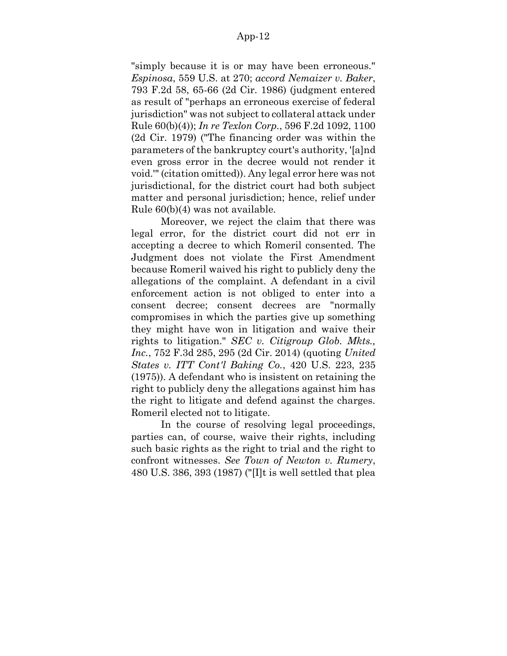"simply because it is or may have been erroneous." *Espinosa*, 559 U.S. at 270; *accord Nemaizer v. Baker*, 793 F.2d 58, 65-66 (2d Cir. 1986) (judgment entered as result of "perhaps an erroneous exercise of federal jurisdiction" was not subject to collateral attack under Rule 60(b)(4)); *In re Texlon Corp.*, 596 F.2d 1092, 1100 (2d Cir. 1979) ("The financing order was within the parameters of the bankruptcy court's authority, '[a]nd even gross error in the decree would not render it void.'" (citation omitted)). Any legal error here was not jurisdictional, for the district court had both subject matter and personal jurisdiction; hence, relief under Rule 60(b)(4) was not available.

Moreover, we reject the claim that there was legal error, for the district court did not err in accepting a decree to which Romeril consented. The Judgment does not violate the First Amendment because Romeril waived his right to publicly deny the allegations of the complaint. A defendant in a civil enforcement action is not obliged to enter into a consent decree; consent decrees are "normally compromises in which the parties give up something they might have won in litigation and waive their rights to litigation." *SEC v. Citigroup Glob. Mkts., Inc.*, 752 F.3d 285, 295 (2d Cir. 2014) (quoting *United States v. ITT Cont'l Baking Co.*, 420 U.S. 223, 235 (1975)). A defendant who is insistent on retaining the right to publicly deny the allegations against him has the right to litigate and defend against the charges. Romeril elected not to litigate.

In the course of resolving legal proceedings, parties can, of course, waive their rights, including such basic rights as the right to trial and the right to confront witnesses. *See Town of Newton v. Rumery*, 480 U.S. 386, 393 (1987) ("[I]t is well settled that plea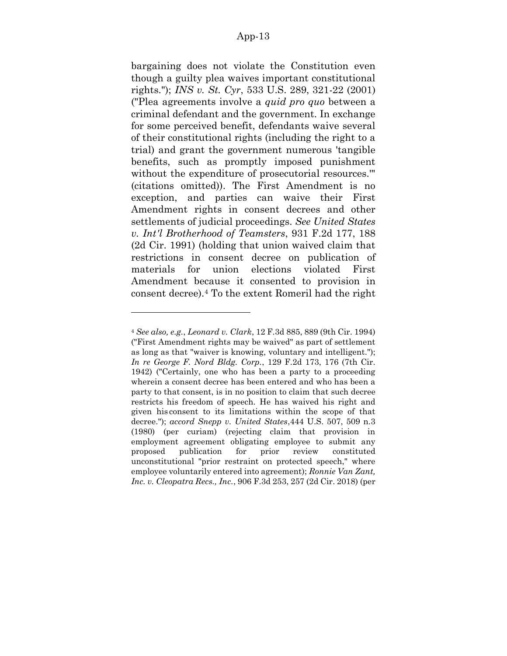bargaining does not violate the Constitution even though a guilty plea waives important constitutional rights."); *INS v. St. Cyr*, 533 U.S. 289, 321-22 (2001) ("Plea agreements involve a *quid pro quo* between a criminal defendant and the government. In exchange for some perceived benefit, defendants waive several of their constitutional rights (including the right to a trial) and grant the government numerous 'tangible benefits, such as promptly imposed punishment without the expenditure of prosecutorial resources.'" (citations omitted)). The First Amendment is no exception, and parties can waive their First Amendment rights in consent decrees and other settlements of judicial proceedings. *See United States v. Int'l Brotherhood of Teamsters*, 931 F.2d 177, 188 (2d Cir. 1991) (holding that union waived claim that restrictions in consent decree on publication of materials for union elections violated First Amendment because it consented to provision in consent decree).<sup>4</sup> To the extent Romeril had the right

<sup>4</sup> *See also, e.g.*, *Leonard v. Clark*, 12 F.3d 885, 889 (9th Cir. 1994) ("First Amendment rights may be waived" as part of settlement as long as that "waiver is knowing, voluntary and intelligent."); *In re George F. Nord Bldg. Corp.*, 129 F.2d 173, 176 (7th Cir. 1942) ("Certainly, one who has been a party to a proceeding wherein a consent decree has been entered and who has been a party to that consent, is in no position to claim that such decree restricts his freedom of speech. He has waived his right and given his consent to its limitations within the scope of that decree."); *accord Snepp v. United States*,444 U.S. 507, 509 n.3 (1980) (per curiam) (rejecting claim that provision in employment agreement obligating employee to submit any proposed publication for prior review constituted unconstitutional "prior restraint on protected speech," where employee voluntarily entered into agreement); *Ronnie Van Zant, Inc. v. Cleopatra Recs., Inc.*, 906 F.3d 253, 257 (2d Cir. 2018) (per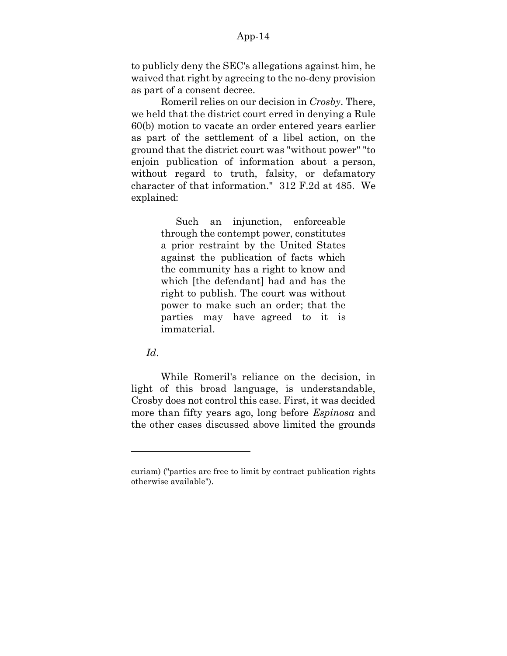to publicly deny the SEC's allegations against him, he waived that right by agreeing to the no-deny provision as part of a consent decree.

Romeril relies on our decision in *Crosby*. There, we held that the district court erred in denying a Rule 60(b) motion to vacate an order entered years earlier as part of the settlement of a libel action, on the ground that the district court was "without power" "to enjoin publication of information about a person, without regard to truth, falsity, or defamatory character of that information." 312 F.2d at 485. We explained:

> Such an injunction, enforceable through the contempt power, constitutes a prior restraint by the United States against the publication of facts which the community has a right to know and which [the defendant] had and has the right to publish. The court was without power to make such an order; that the parties may have agreed to it is immaterial.

*Id*.

While Romeril's reliance on the decision, in light of this broad language, is understandable, Crosby does not control this case. First, it was decided more than fifty years ago, long before *Espinosa* and the other cases discussed above limited the grounds

curiam) ("parties are free to limit by contract publication rights otherwise available").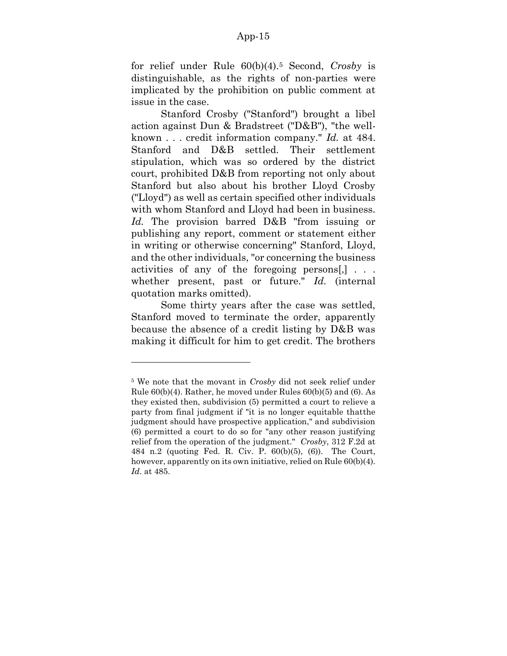for relief under Rule 60(b)(4).<sup>5</sup> Second, *Crosby* is distinguishable, as the rights of non-parties were implicated by the prohibition on public comment at issue in the case.

Stanford Crosby ("Stanford") brought a libel action against Dun & Bradstreet ("D&B"), "the wellknown . . . credit information company." *Id.* at 484. Stanford and D&B settled. Their settlement stipulation, which was so ordered by the district court, prohibited D&B from reporting not only about Stanford but also about his brother Lloyd Crosby ("Lloyd") as well as certain specified other individuals with whom Stanford and Lloyd had been in business. *Id.* The provision barred D&B "from issuing or publishing any report, comment or statement either in writing or otherwise concerning" Stanford, Lloyd, and the other individuals, "or concerning the business activities of any of the foregoing persons[,] . . . whether present, past or future." *Id.* (internal quotation marks omitted).

Some thirty years after the case was settled, Stanford moved to terminate the order, apparently because the absence of a credit listing by D&B was making it difficult for him to get credit. The brothers

<sup>5</sup> We note that the movant in *Crosby* did not seek relief under Rule 60(b)(4). Rather, he moved under Rules 60(b)(5) and (6). As they existed then, subdivision (5) permitted a court to relieve a party from final judgment if "it is no longer equitable thatthe judgment should have prospective application," and subdivision (6) permitted a court to do so for "any other reason justifying relief from the operation of the judgment." *Crosby*, 312 F.2d at 484 n.2 (quoting Fed. R. Civ. P. 60(b)(5), (6)). The Court, however, apparently on its own initiative, relied on Rule  $60(b)(4)$ . *Id*. at 485.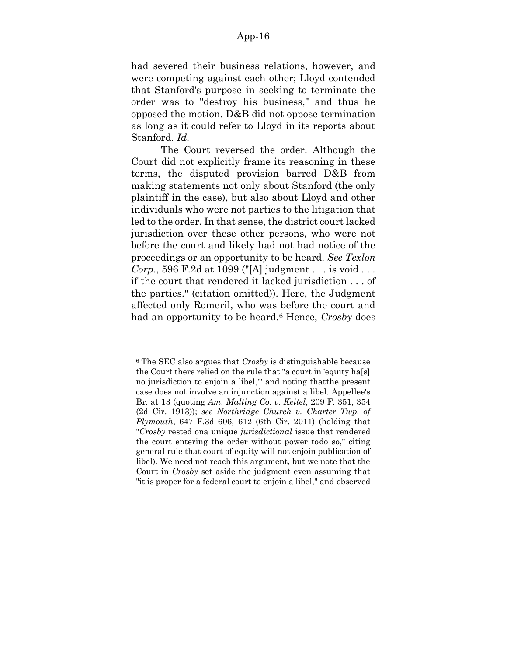had severed their business relations, however, and were competing against each other; Lloyd contended that Stanford's purpose in seeking to terminate the order was to "destroy his business," and thus he opposed the motion. D&B did not oppose termination as long as it could refer to Lloyd in its reports about Stanford. *Id.*

The Court reversed the order. Although the Court did not explicitly frame its reasoning in these terms, the disputed provision barred D&B from making statements not only about Stanford (the only plaintiff in the case), but also about Lloyd and other individuals who were not parties to the litigation that led to the order. In that sense, the district court lacked jurisdiction over these other persons, who were not before the court and likely had not had notice of the proceedings or an opportunity to be heard. *See Texlon Corp.*, 596 F.2d at 1099 ("[A] judgment . . . is void . . . if the court that rendered it lacked jurisdiction . . . of the parties." (citation omitted)). Here, the Judgment affected only Romeril, who was before the court and had an opportunity to be heard.<sup>6</sup> Hence, *Crosby* does

<sup>6</sup> The SEC also argues that *Crosby* is distinguishable because the Court there relied on the rule that "a court in 'equity ha[s] no jurisdiction to enjoin a libel,'" and noting thatthe present case does not involve an injunction against a libel. Appellee's Br. at 13 (quoting *Am. Malting Co. v. Keitel*, 209 F. 351, 354 (2d Cir. 1913)); *see Northridge Church v. Charter Twp. of Plymouth*, 647 F.3d 606, 612 (6th Cir. 2011) (holding that "*Crosby* rested ona unique *jurisdictional* issue that rendered the court entering the order without power todo so," citing general rule that court of equity will not enjoin publication of libel). We need not reach this argument, but we note that the Court in *Crosby* set aside the judgment even assuming that "it is proper for a federal court to enjoin a libel," and observed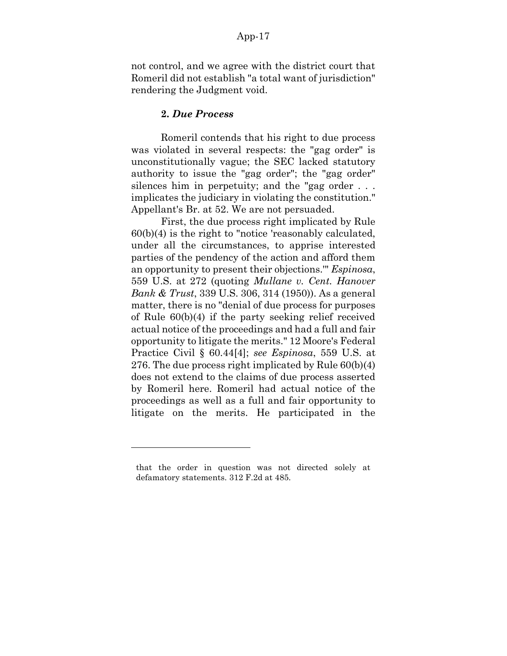not control, and we agree with the district court that Romeril did not establish "a total want of jurisdiction" rendering the Judgment void.

#### **2.** *Due Process*

Romeril contends that his right to due process was violated in several respects: the "gag order" is unconstitutionally vague; the SEC lacked statutory authority to issue the "gag order"; the "gag order" silences him in perpetuity; and the "gag order . . . implicates the judiciary in violating the constitution." Appellant's Br. at 52. We are not persuaded.

First, the due process right implicated by Rule 60(b)(4) is the right to "notice 'reasonably calculated, under all the circumstances, to apprise interested parties of the pendency of the action and afford them an opportunity to present their objections.'" *Espinosa*, 559 U.S. at 272 (quoting *Mullane v. Cent. Hanover Bank & Trust*, 339 U.S. 306, 314 (1950)). As a general matter, there is no "denial of due process for purposes of Rule 60(b)(4) if the party seeking relief received actual notice of the proceedings and had a full and fair opportunity to litigate the merits." 12 Moore's Federal Practice Civil § 60.44[4]; *see Espinosa*, 559 U.S. at 276. The due process right implicated by Rule 60(b)(4) does not extend to the claims of due process asserted by Romeril here. Romeril had actual notice of the proceedings as well as a full and fair opportunity to litigate on the merits. He participated in the

that the order in question was not directed solely at defamatory statements. 312 F.2d at 485.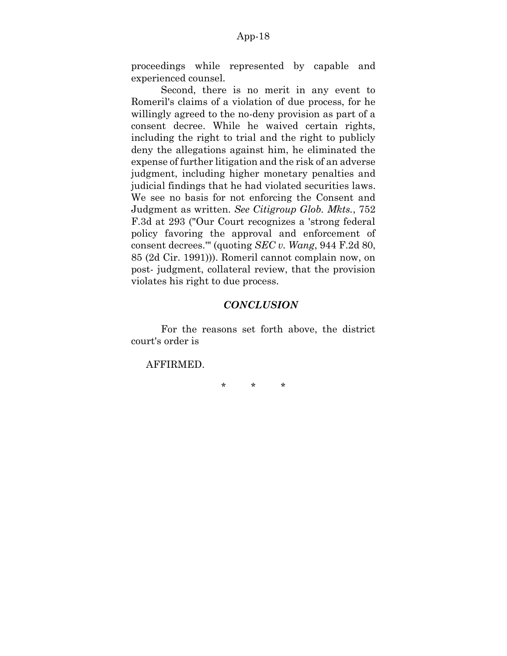proceedings while represented by capable and experienced counsel.

Second, there is no merit in any event to Romeril's claims of a violation of due process, for he willingly agreed to the no-deny provision as part of a consent decree. While he waived certain rights, including the right to trial and the right to publicly deny the allegations against him, he eliminated the expense of further litigation and the risk of an adverse judgment, including higher monetary penalties and judicial findings that he had violated securities laws. We see no basis for not enforcing the Consent and Judgment as written. *See Citigroup Glob. Mkts.*, 752 F.3d at 293 ("Our Court recognizes a 'strong federal policy favoring the approval and enforcement of consent decrees.'" (quoting *SEC v. Wang*, 944 F.2d 80, 85 (2d Cir. 1991))). Romeril cannot complain now, on post- judgment, collateral review, that the provision violates his right to due process.

### *CONCLUSION*

For the reasons set forth above, the district court's order is

AFFIRMED.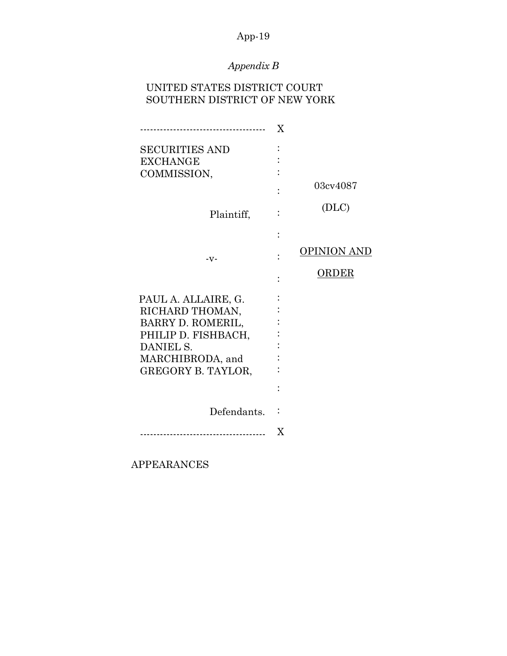# *Appendix B*

# UNITED STATES DISTRICT COURT SOUTHERN DISTRICT OF NEW YORK

| ---------------------------------- | X |             |
|------------------------------------|---|-------------|
| <b>SECURITIES AND</b>              |   |             |
| <b>EXCHANGE</b>                    |   |             |
| COMMISSION,                        |   |             |
|                                    |   | 03cv4087    |
| Plaintiff,                         |   | (DLC)       |
|                                    |   |             |
| $-V -$                             |   | OPINION AND |
|                                    |   | ORDER       |
| PAUL A. ALLAIRE, G.                |   |             |
| RICHARD THOMAN,                    |   |             |
| BARRY D. ROMERIL,                  |   |             |
| PHILIP D. FISHBACH,                |   |             |
| DANIEL S.                          |   |             |
| MARCHIBRODA, and                   |   |             |
| GREGORY B. TAYLOR,                 |   |             |
|                                    |   |             |
| Defendants.                        |   |             |
|                                    | X |             |

APPEARANCES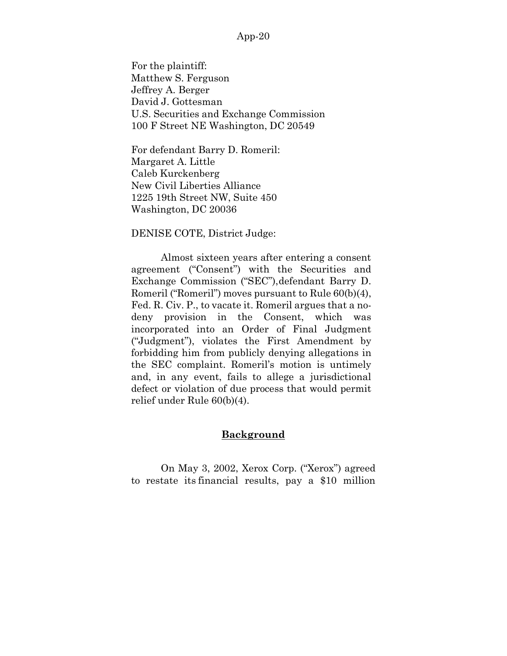For the plaintiff: Matthew S. Ferguson Jeffrey A. Berger David J. Gottesman U.S. Securities and Exchange Commission 100 F Street NE Washington, DC 20549

For defendant Barry D. Romeril: Margaret A. Little Caleb Kurckenberg New Civil Liberties Alliance 1225 19th Street NW, Suite 450 Washington, DC 20036

DENISE COTE, District Judge:

Almost sixteen years after entering a consent agreement ("Consent") with the Securities and Exchange Commission ("SEC"),defendant Barry D. Romeril ("Romeril") moves pursuant to Rule 60(b)(4), Fed. R. Civ. P., to vacate it. Romeril argues that a nodeny provision in the Consent, which was incorporated into an Order of Final Judgment ("Judgment"), violates the First Amendment by forbidding him from publicly denying allegations in the SEC complaint. Romeril's motion is untimely and, in any event, fails to allege a jurisdictional defect or violation of due process that would permit relief under Rule 60(b)(4).

# **Background**

On May 3, 2002, Xerox Corp. ("Xerox") agreed to restate its financial results, pay a \$10 million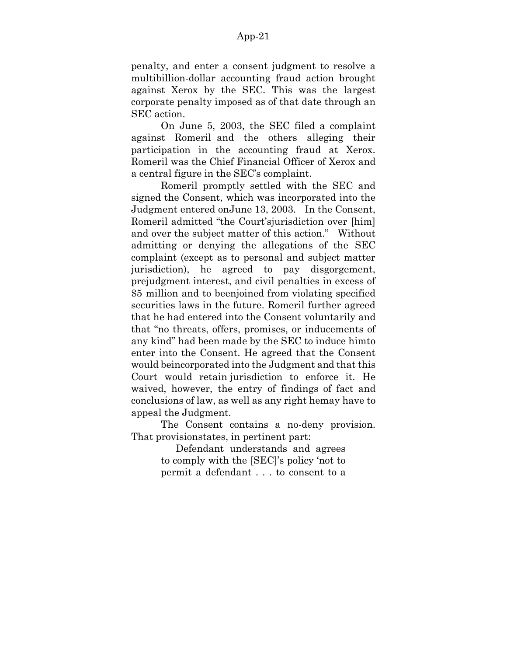penalty, and enter a consent judgment to resolve a multibillion-dollar accounting fraud action brought against Xerox by the SEC. This was the largest corporate penalty imposed as of that date through an SEC action.

On June 5, 2003, the SEC filed a complaint against Romeril and the others alleging their participation in the accounting fraud at Xerox. Romeril was the Chief Financial Officer of Xerox and a central figure in the SEC's complaint.

Romeril promptly settled with the SEC and signed the Consent, which was incorporated into the Judgment entered onJune 13, 2003. In the Consent, Romeril admitted "the Court'sjurisdiction over [him] and over the subject matter of this action." Without admitting or denying the allegations of the SEC complaint (except as to personal and subject matter jurisdiction), he agreed to pay disgorgement, prejudgment interest, and civil penalties in excess of \$5 million and to beenjoined from violating specified securities laws in the future. Romeril further agreed that he had entered into the Consent voluntarily and that "no threats, offers, promises, or inducements of any kind" had been made by the SEC to induce himto enter into the Consent. He agreed that the Consent would beincorporated into the Judgment and that this Court would retain jurisdiction to enforce it. He waived, however, the entry of findings of fact and conclusions of law, as well as any right hemay have to appeal the Judgment.

The Consent contains a no-deny provision. That provisionstates, in pertinent part:

> Defendant understands and agrees to comply with the [SEC]'s policy 'not to permit a defendant . . . to consent to a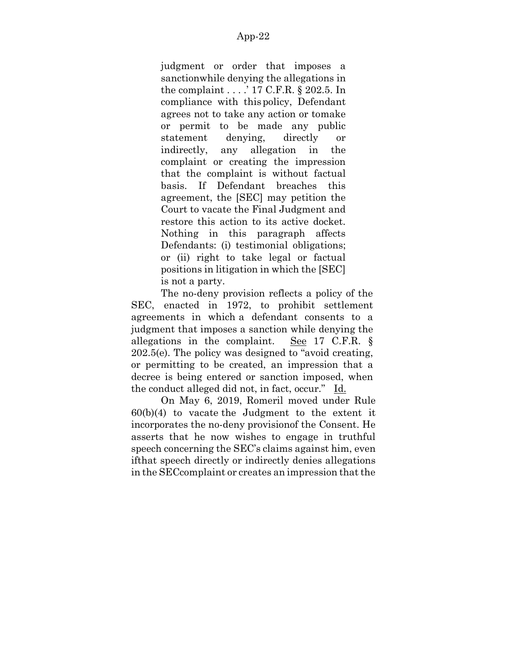judgment or order that imposes a sanctionwhile denying the allegations in the complaint . . . .' 17 C.F.R. § 202.5. In compliance with thispolicy, Defendant agrees not to take any action or tomake or permit to be made any public statement denying, directly or indirectly, any allegation in the complaint or creating the impression that the complaint is without factual basis. If Defendant breaches this agreement, the [SEC] may petition the Court to vacate the Final Judgment and restore this action to its active docket. Nothing in this paragraph affects Defendants: (i) testimonial obligations; or (ii) right to take legal or factual positions in litigation in which the [SEC] is not a party.

The no-deny provision reflects a policy of the SEC, enacted in 1972, to prohibit settlement agreements in which a defendant consents to a judgment that imposes a sanction while denying the allegations in the complaint. See 17 C.F.R. § 202.5(e). The policy was designed to "avoid creating, or permitting to be created, an impression that a decree is being entered or sanction imposed, when the conduct alleged did not, in fact, occur." Id.

On May 6, 2019, Romeril moved under Rule  $60(b)(4)$  to vacate the Judgment to the extent it incorporates the no-deny provisionof the Consent. He asserts that he now wishes to engage in truthful speech concerning the SEC's claims against him, even ifthat speech directly or indirectly denies allegations in the SEC complaint or creates an impression that the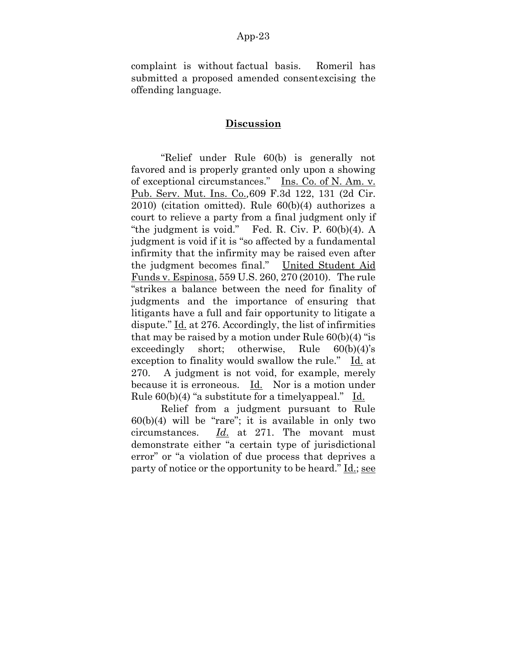complaint is without factual basis. Romeril has submitted a proposed amended consentexcising the offending language.

### **Discussion**

"Relief under Rule 60(b) is generally not favored and is properly granted only upon a showing of exceptional circumstances." Ins. Co. of N. Am. v. Pub. Serv. Mut. Ins. Co.*,*609 F.3d 122, 131 (2d Cir. 2010) (citation omitted). Rule 60(b)(4) authorizes a court to relieve a party from a final judgment only if "the judgment is void." Fed. R. Civ. P. 60(b)(4). A judgment is void if it is "so affected by a fundamental infirmity that the infirmity may be raised even after the judgment becomes final." United Student Aid Funds v. Espinosa, 559 U.S. 260, 270 (2010). The rule "strikes a balance between the need for finality of judgments and the importance of ensuring that litigants have a full and fair opportunity to litigate a dispute." Id. at 276. Accordingly, the list of infirmities that may be raised by a motion under Rule  $60(b)(4)$  "is exceedingly short; otherwise, Rule 60(b)(4)'s exception to finality would swallow the rule." Id. at 270. A judgment is not void, for example, merely because it is erroneous. Id. Nor is a motion under Rule 60(b)(4) "a substitute for a timelyappeal." Id.

Relief from a judgment pursuant to Rule  $60(b)(4)$  will be "rare"; it is available in only two circumstances. *Id*. at 271. The movant must demonstrate either "a certain type of jurisdictional error" or "a violation of due process that deprives a party of notice or the opportunity to be heard." Id.; see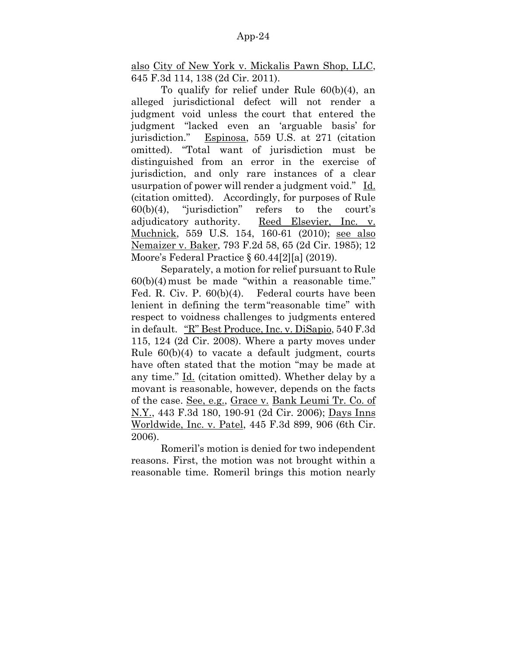also City of New York v. Mickalis Pawn Shop, LLC, 645 F.3d 114, 138 (2d Cir. 2011).

To qualify for relief under Rule 60(b)(4), an alleged jurisdictional defect will not render a judgment void unless the court that entered the judgment "lacked even an 'arguable basis' for jurisdiction." Espinosa, 559 U.S. at 271 (citation omitted). "Total want of jurisdiction must be distinguished from an error in the exercise of jurisdiction, and only rare instances of a clear usurpation of power will render a judgment void." Id. (citation omitted). Accordingly, for purposes of Rule 60(b)(4), "jurisdiction" refers to the court's adjudicatory authority. Reed Elsevier, Inc. v. Muchnick, 559 U.S. 154, 160-61 (2010); see also Nemaizer v. Baker, 793 F.2d 58, 65 (2d Cir. 1985); 12 Moore's Federal Practice § 60.44[2][a] (2019).

Separately, a motion for relief pursuant to Rule  $60(b)(4)$  must be made "within a reasonable time." Fed. R. Civ. P. 60(b)(4). Federal courts have been lenient in defining the term"reasonable time" with respect to voidness challenges to judgments entered in default. "R" Best Produce, Inc. v. DiSapio, 540 F.3d 115, 124 (2d Cir. 2008). Where a party moves under Rule 60(b)(4) to vacate a default judgment, courts have often stated that the motion "may be made at any time." Id. (citation omitted). Whether delay by a movant is reasonable, however, depends on the facts of the case. See, e.g., Grace v. Bank Leumi Tr. Co. of N.Y., 443 F.3d 180, 190-91 (2d Cir. 2006); Days Inns Worldwide, Inc. v. Patel, 445 F.3d 899, 906 (6th Cir. 2006).

Romeril's motion is denied for two independent reasons. First, the motion was not brought within a reasonable time. Romeril brings this motion nearly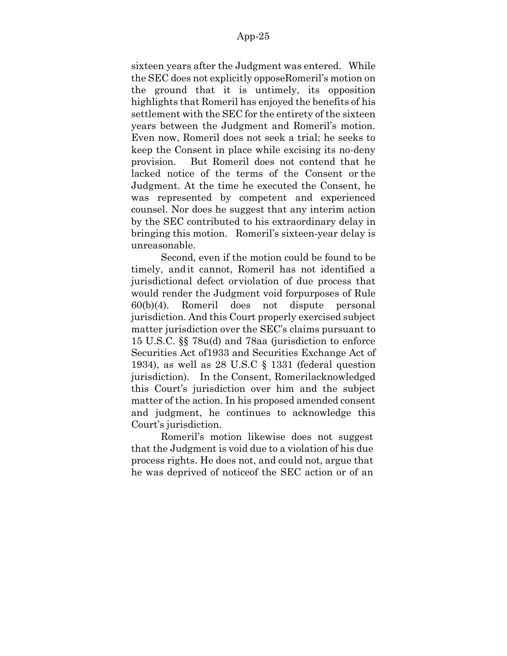sixteen years after the Judgment was entered. While the SEC does not explicitly opposeRomeril's motion on the ground that it is untimely, its opposition highlights that Romeril has enjoyed the benefits of his settlement with the SEC for the entirety of the sixteen years between the Judgment and Romeril's motion. Even now, Romeril does not seek a trial; he seeks to keep the Consent in place while excising its no-deny provision. But Romeril does not contend that he lacked notice of the terms of the Consent or the Judgment. At the time he executed the Consent, he was represented by competent and experienced counsel. Nor does he suggest that any interim action by the SEC contributed to his extraordinary delay in bringing this motion. Romeril's sixteen-year delay is unreasonable.

Second, even if the motion could be found to be timely, andit cannot, Romeril has not identified a jurisdictional defect orviolation of due process that would render the Judgment void forpurposes of Rule 60(b)(4). Romeril does not dispute personal jurisdiction. And this Court properly exercised subject matter jurisdiction over the SEC's claims pursuant to 15 U.S.C. §§ 78u(d) and 78aa (jurisdiction to enforce Securities Act of1933 and Securities Exchange Act of 1934), as well as 28 U.S.C § 1331 (federal question jurisdiction). In the Consent, Romerilacknowledged this Court's jurisdiction over him and the subject matter of the action. In his proposed amended consent and judgment, he continues to acknowledge this Court's jurisdiction.

Romeril's motion likewise does not suggest that the Judgment is void due to a violation of his due process rights. He does not, and could not, argue that he was deprived of noticeof the SEC action or of an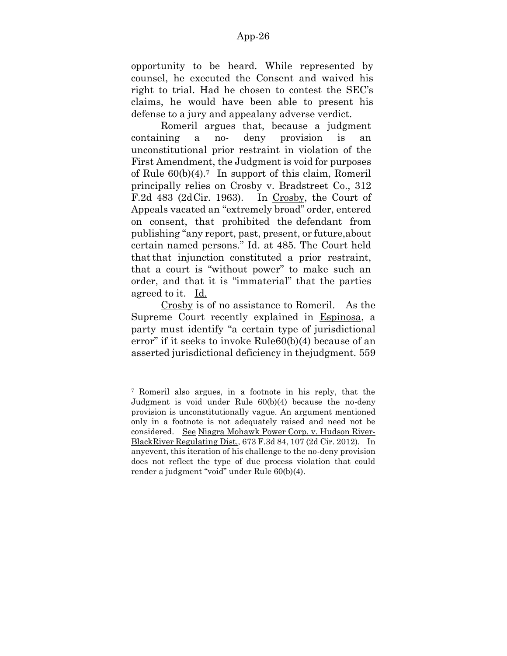opportunity to be heard. While represented by counsel, he executed the Consent and waived his right to trial. Had he chosen to contest the SEC's claims, he would have been able to present his defense to a jury and appealany adverse verdict.

Romeril argues that, because a judgment containing a no- deny provision is an unconstitutional prior restraint in violation of the First Amendment, the Judgment is void for purposes of Rule  $60(b)(4)$ .<sup>7</sup> In support of this claim, Romeril principally relies on Crosby v. Bradstreet Co., 312 F.2d 483 (2dCir. 1963). In Crosby, the Court of Appeals vacated an "extremely broad" order, entered on consent, that prohibited the defendant from publishing "any report, past, present, or future,about certain named persons." Id. at 485. The Court held that that injunction constituted a prior restraint, that a court is "without power" to make such an order, and that it is "immaterial" that the parties agreed to it. Id.

Crosby is of no assistance to Romeril. As the Supreme Court recently explained in Espinosa, a party must identify "a certain type of jurisdictional error" if it seeks to invoke Rule60(b)(4) because of an asserted jurisdictional deficiency in thejudgment. 559

<sup>7</sup> Romeril also argues, in a footnote in his reply, that the Judgment is void under Rule 60(b)(4) because the no-deny provision is unconstitutionally vague. An argument mentioned only in a footnote is not adequately raised and need not be considered. See Niagra Mohawk Power Corp. v. Hudson River-BlackRiver Regulating Dist., 673 F.3d 84, 107 (2d Cir. 2012). In anyevent, this iteration of his challenge to the no-deny provision does not reflect the type of due process violation that could render a judgment "void" under Rule 60(b)(4).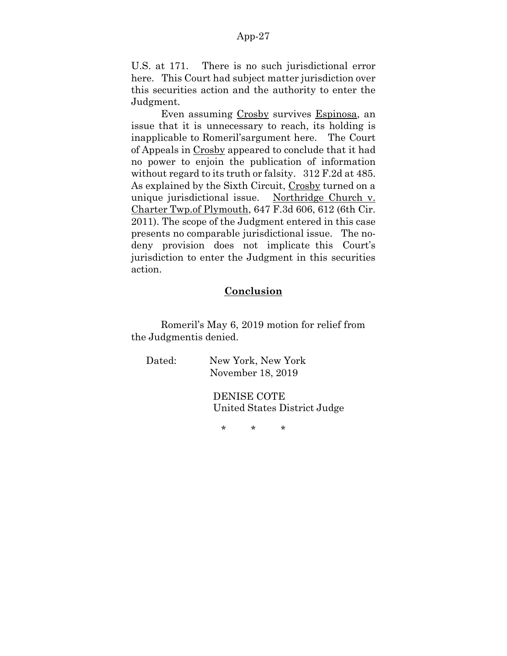U.S. at 171. There is no such jurisdictional error here. This Court had subject matter jurisdiction over this securities action and the authority to enter the Judgment.

Even assuming Crosby survives Espinosa, an issue that it is unnecessary to reach, its holding is inapplicable to Romeril'sargument here. The Court of Appeals in Crosby appeared to conclude that it had no power to enjoin the publication of information without regard to its truth or falsity. 312 F.2d at 485. As explained by the Sixth Circuit, Crosby turned on a unique jurisdictional issue. Northridge Church v. Charter Twp.of Plymouth, 647 F.3d 606, 612 (6th Cir. 2011). The scope of the Judgment entered in this case presents no comparable jurisdictional issue. The nodeny provision does not implicate this Court's jurisdiction to enter the Judgment in this securities action.

# **Conclusion**

Romeril's May 6, 2019 motion for relief from the Judgmentis denied.

Dated: New York, New York November 18, 2019

> DENISE COTE United States District Judge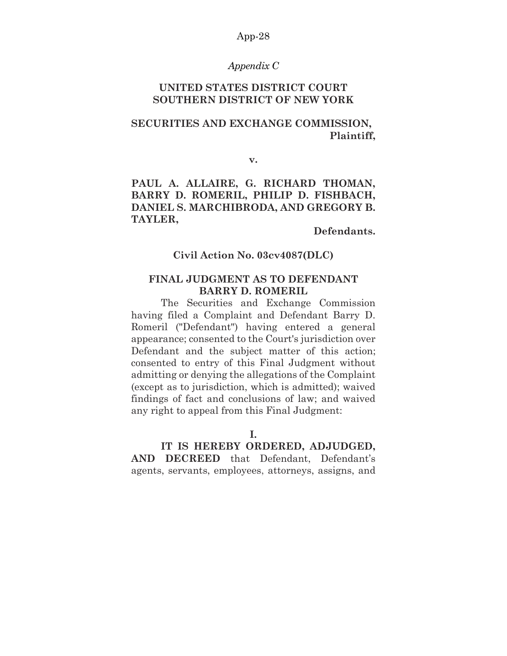#### *Appendix C*

# **UNITED STATES DISTRICT COURT SOUTHERN DISTRICT OF NEW YORK**

# **SECURITIES AND EXCHANGE COMMISSION, Plaintiff,**

**v.**

# **PAUL A. ALLAIRE, G. RICHARD THOMAN, BARRY D. ROMERIL, PHILIP D. FISHBACH, DANIEL S. MARCHIBRODA, AND GREGORY B. TAYLER,**

#### **Defendants.**

# **Civil Action No. 03cv4087(DLC)**

# **FINAL JUDGMENT AS TO DEFENDANT BARRY D. ROMERIL**

The Securities and Exchange Commission having filed a Complaint and Defendant Barry D. Romeril ("Defendant") having entered a general appearance; consented to the Court's jurisdiction over Defendant and the subject matter of this action; consented to entry of this Final Judgment without admitting or denying the allegations of the Complaint (except as to jurisdiction, which is admitted); waived findings of fact and conclusions of law; and waived any right to appeal from this Final Judgment:

**I.**

# **IT IS HEREBY ORDERED, ADJUDGED,**

**AND DECREED** that Defendant, Defendant's agents, servants, employees, attorneys, assigns, and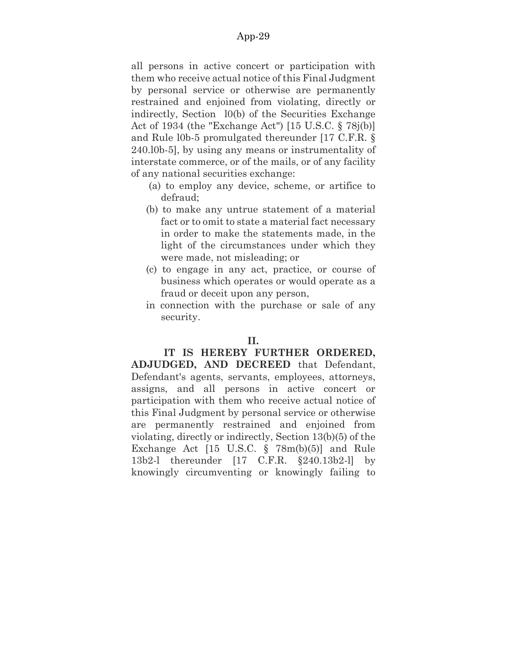all persons in active concert or participation with them who receive actual notice of this Final Judgment by personal service or otherwise are permanently restrained and enjoined from violating, directly or indirectly, Section l0(b) of the Securities Exchange Act of 1934 (the "Exchange Act") [15 U.S.C. § 78j(b)] and Rule l0b-5 promulgated thereunder [17 C.F.R. § 240.l0b-5], by using any means or instrumentality of interstate commerce, or of the mails, or of any facility of any national securities exchange:

- (a) to employ any device, scheme, or artifice to defraud;
- (b) to make any untrue statement of a material fact or to omit to state a material fact necessary in order to make the statements made, in the light of the circumstances under which they were made, not misleading; or
- (c) to engage in any act, practice, or course of business which operates or would operate as a fraud or deceit upon any person,
- in connection with the purchase or sale of any security.

# **II.**

# **IT IS HEREBY FURTHER ORDERED,**

**ADJUDGED, AND DECREED** that Defendant, Defendant's agents, servants, employees, attorneys, assigns, and all persons in active concert or participation with them who receive actual notice of this Final Judgment by personal service or otherwise are permanently restrained and enjoined from violating, directly or indirectly, Section 13(b)(5) of the Exchange Act [15 U.S.C. § 78m(b)(5)] and Rule 13b2-l thereunder [17 C.F.R. §240.13b2-l] by knowingly circumventing or knowingly failing to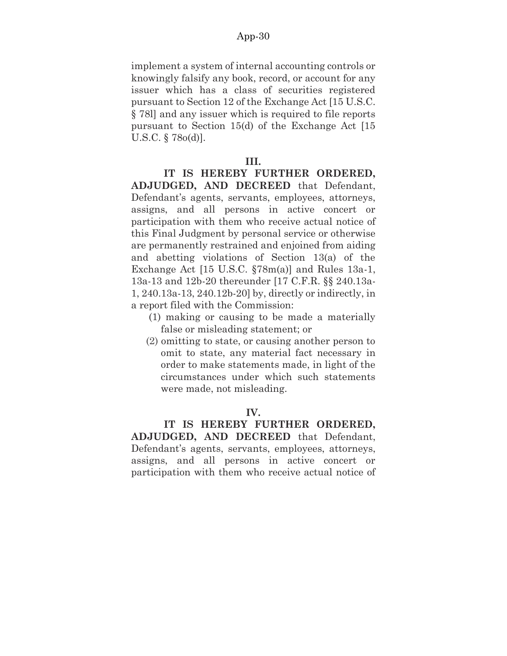implement a system of internal accounting controls or knowingly falsify any book, record, or account for any issuer which has a class of securities registered pursuant to Section 12 of the Exchange Act [15 U.S.C. § 78l] and any issuer which is required to file reports pursuant to Section 15(d) of the Exchange Act [15 U.S.C. § 78o(d)].

#### **III.**

**IT IS HEREBY FURTHER ORDERED, ADJUDGED, AND DECREED** that Defendant, Defendant's agents, servants, employees, attorneys, assigns, and all persons in active concert or participation with them who receive actual notice of this Final Judgment by personal service or otherwise are permanently restrained and enjoined from aiding and abetting violations of Section 13(a) of the Exchange Act [15 U.S.C. §78m(a)] and Rules 13a-1, 13a-13 and 12b-20 thereunder [17 C.F.R. §§ 240.13a-1, 240.13a-13, 240.12b-20] by, directly or indirectly, in a report filed with the Commission:

- (1) making or causing to be made a materially false or misleading statement; or
- (2) omitting to state, or causing another person to omit to state, any material fact necessary in order to make statements made, in light of the circumstances under which such statements were made, not misleading.

#### **IV.**

**IT IS HEREBY FURTHER ORDERED, ADJUDGED, AND DECREED** that Defendant, Defendant's agents, servants, employees, attorneys, assigns, and all persons in active concert or participation with them who receive actual notice of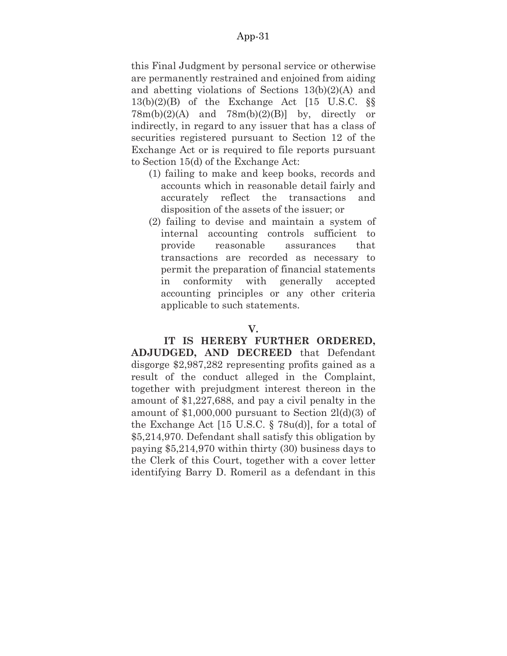this Final Judgment by personal service or otherwise are permanently restrained and enjoined from aiding and abetting violations of Sections 13(b)(2)(A) and 13(b)(2)(B) of the Exchange Act [15 U.S.C. §§  $78m(b)(2)(A)$  and  $78m(b)(2)(B)$  by, directly or indirectly, in regard to any issuer that has a class of securities registered pursuant to Section 12 of the Exchange Act or is required to file reports pursuant to Section 15(d) of the Exchange Act:

- (1) failing to make and keep books, records and accounts which in reasonable detail fairly and accurately reflect the transactions and disposition of the assets of the issuer; or
- (2) failing to devise and maintain a system of internal accounting controls sufficient to provide reasonable assurances that transactions are recorded as necessary to permit the preparation of financial statements in conformity with generally accepted accounting principles or any other criteria applicable to such statements.

#### **V.**

**IT IS HEREBY FURTHER ORDERED, ADJUDGED, AND DECREED** that Defendant disgorge \$2,987,282 representing profits gained as a result of the conduct alleged in the Complaint, together with prejudgment interest thereon in the amount of \$1,227,688, and pay a civil penalty in the amount of  $$1,000,000$  pursuant to Section  $2I(d)(3)$  of the Exchange Act [15 U.S.C. § 78u(d)], for a total of \$5,214,970. Defendant shall satisfy this obligation by paying \$5,214,970 within thirty (30) business days to the Clerk of this Court, together with a cover letter identifying Barry D. Romeril as a defendant in this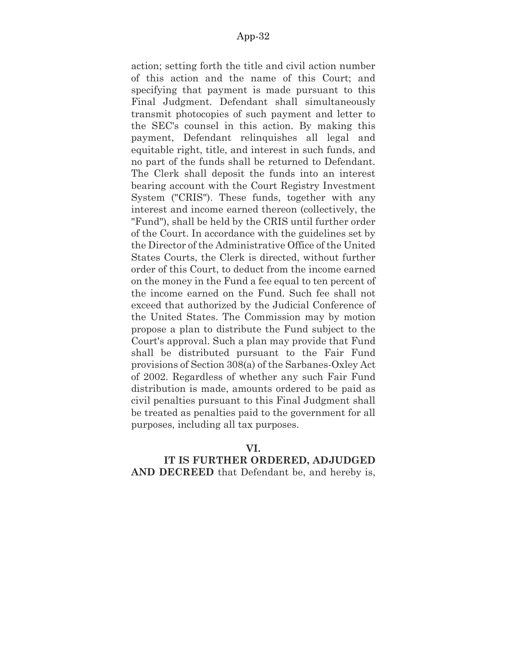action; setting forth the title and civil action number of this action and the name of this Court; and specifying that payment is made pursuant to this Final Judgment. Defendant shall simultaneously transmit photocopies of such payment and letter to the SEC's counsel in this action. By making this payment, Defendant relinquishes all legal and equitable right, title, and interest in such funds, and no part of the funds shall be returned to Defendant. The Clerk shall deposit the funds into an interest bearing account with the Court Registry Investment System ("CRIS"). These funds, together with any interest and income earned thereon (collectively, the "Fund"), shall be held by the CRIS until further order of the Court. In accordance with the guidelines set by the Director of the Administrative Office of the United States Courts, the Clerk is directed, without further order of this Court, to deduct from the income earned on the money in the Fund a fee equal to ten percent of the income earned on the Fund. Such fee shall not exceed that authorized by the Judicial Conference of the United States. The Commission may by motion propose a plan to distribute the Fund subject to the Court's approval. Such a plan may provide that Fund shall be distributed pursuant to the Fair Fund provisions of Section 308(a) of the Sarbanes-Oxley Act of 2002. Regardless of whether any such Fair Fund distribution is made, amounts ordered to be paid as civil penalties pursuant to this Final Judgment shall be treated as penalties paid to the government for all purposes, including all tax purposes.

# **VI.**

# **IT IS FURTHER ORDERED, ADJUDGED AND DECREED** that Defendant be, and hereby is,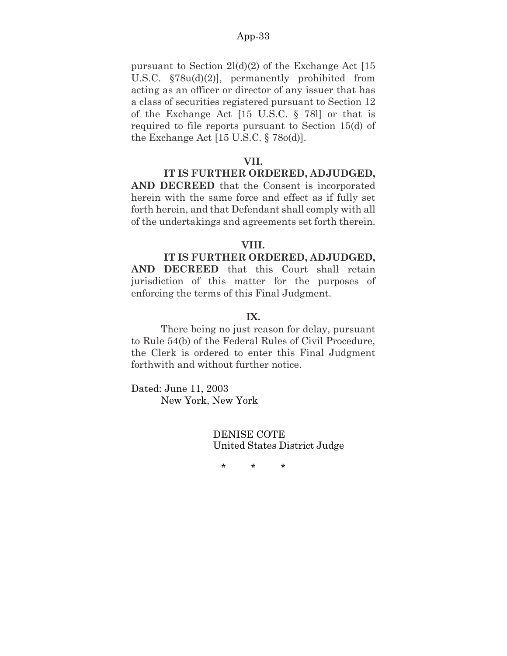pursuant to Section  $2I(d)(2)$  of the Exchange Act [15] U.S.C. §78u(d)(2)], permanently prohibited from acting as an officer or director of any issuer that has a class of securities registered pursuant to Section 12 of the Exchange Act [15 U.S.C. § 78l] or that is required to file reports pursuant to Section 15(d) of the Exchange Act [15 U.S.C. § 78o(d)].

#### **VII.**

# **IT IS FURTHER ORDERED, ADJUDGED,**

**AND DECREED** that the Consent is incorporated herein with the same force and effect as if fully set forth herein, and that Defendant shall comply with all of the undertakings and agreements set forth therein.

#### **VIII.**

#### **IT IS FURTHER ORDERED, ADJUDGED,**

**AND DECREED** that this Court shall retain jurisdiction of this matter for the purposes of enforcing the terms of this Final Judgment.

#### **IX.**

There being no just reason for delay, pursuant to Rule 54(b) of the Federal Rules of Civil Procedure, the Clerk is ordered to enter this Final Judgment forthwith and without further notice.

Dated: June 11, 2003 New York, New York

> DENISE COTE United States District Judge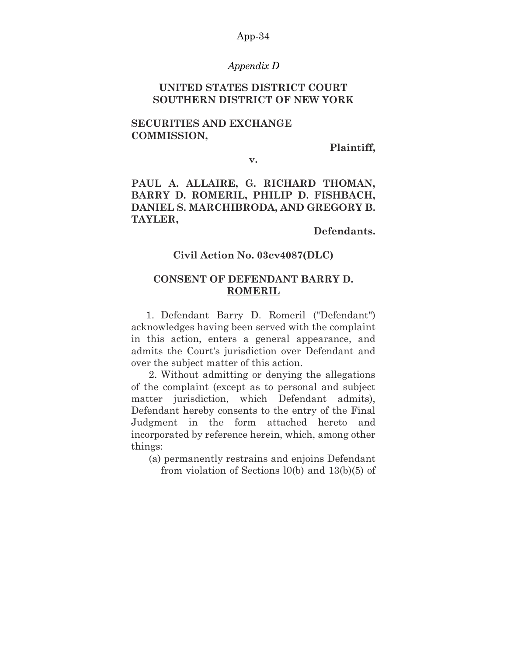#### *Appendix D*

# **UNITED STATES DISTRICT COURT SOUTHERN DISTRICT OF NEW YORK**

# **SECURITIES AND EXCHANGE COMMISSION,**

**Plaintiff,** 

**v.**

# **PAUL A. ALLAIRE, G. RICHARD THOMAN, BARRY D. ROMERIL, PHILIP D. FISHBACH, DANIEL S. MARCHIBRODA, AND GREGORY B. TAYLER,**

**Defendants.** 

# **Civil Action No. 03cv4087(DLC)**

# **CONSENT OF DEFENDANT BARRY D. ROMERIL**

1. Defendant Barry D. Romeril ("Defendant") acknowledges having been served with the complaint in this action, enters a general appearance, and admits the Court's jurisdiction over Defendant and over the subject matter of this action.

2. Without admitting or denying the allegations of the complaint (except as to personal and subject matter jurisdiction, which Defendant admits), Defendant hereby consents to the entry of the Final Judgment in the form attached hereto and incorporated by reference herein, which, among other things:

(a) permanently restrains and enjoins Defendant from violation of Sections l0(b) and 13(b)(5) of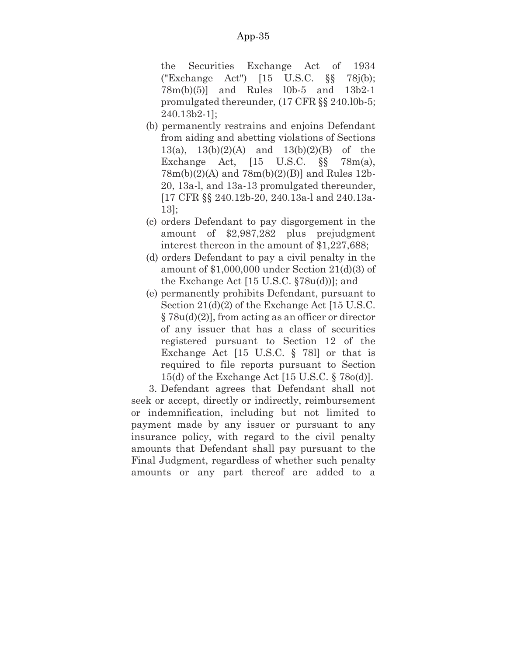the Securities Exchange Act of 1934 ("Exchange Act") [15 U.S.C. §§ 78j(b); 78m(b)(5)] and Rules l0b-5 and 13b2-1 promulgated thereunder, (17 CFR §§ 240.l0b-5; 240.13b2-1];

- (b) permanently restrains and enjoins Defendant from aiding and abetting violations of Sections 13(a), 13(b)(2)(A) and 13(b)(2)(B) of the Exchange Act, [15 U.S.C. §§ 78m(a), 78m(b)(2)(A) and 78m(b)(2)(B)] and Rules 12b-20, 13a-l, and 13a-13 promulgated thereunder, [17 CFR §§ 240.12b-20, 240.13a-l and 240.13a-13];
- (c) orders Defendant to pay disgorgement in the amount of \$2,987,282 plus prejudgment interest thereon in the amount of \$1,227,688;
- (d) orders Defendant to pay a civil penalty in the amount of \$1,000,000 under Section 21(d)(3) of the Exchange Act [15 U.S.C. §78u(d))]; and
- (e) permanently prohibits Defendant, pursuant to Section 21(d)(2) of the Exchange Act [15 U.S.C. § 78u(d)(2)], from acting as an officer or director of any issuer that has a class of securities registered pursuant to Section 12 of the Exchange Act [15 U.S.C. § 78l] or that is required to file reports pursuant to Section 15(d) of the Exchange Act [15 U.S.C. § 78o(d)].

3. Defendant agrees that Defendant shall not seek or accept, directly or indirectly, reimbursement or indemnification, including but not limited to payment made by any issuer or pursuant to any insurance policy, with regard to the civil penalty amounts that Defendant shall pay pursuant to the Final Judgment, regardless of whether such penalty amounts or any part thereof are added to a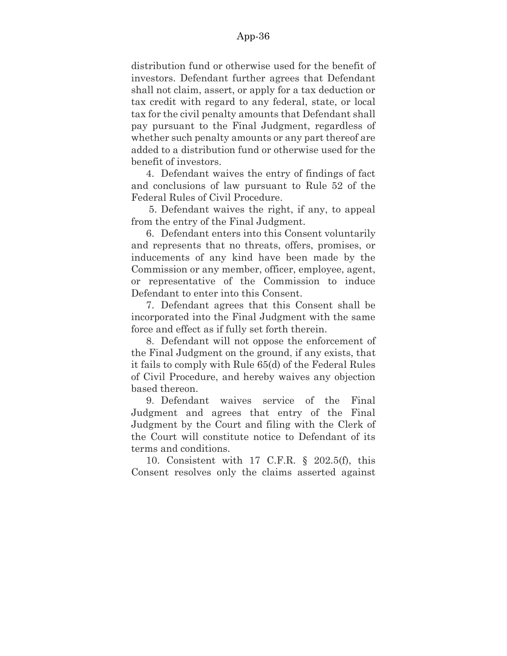distribution fund or otherwise used for the benefit of investors. Defendant further agrees that Defendant shall not claim, assert, or apply for a tax deduction or tax credit with regard to any federal, state, or local tax for the civil penalty amounts that Defendant shall pay pursuant to the Final Judgment, regardless of whether such penalty amounts or any part thereof are added to a distribution fund or otherwise used for the benefit of investors.

4. Defendant waives the entry of findings of fact and conclusions of law pursuant to Rule 52 of the Federal Rules of Civil Procedure.

5. Defendant waives the right, if any, to appeal from the entry of the Final Judgment.

6. Defendant enters into this Consent voluntarily and represents that no threats, offers, promises, or inducements of any kind have been made by the Commission or any member, officer, employee, agent, or representative of the Commission to induce Defendant to enter into this Consent.

7. Defendant agrees that this Consent shall be incorporated into the Final Judgment with the same force and effect as if fully set forth therein.

8. Defendant will not oppose the enforcement of the Final Judgment on the ground, if any exists, that it fails to comply with Rule 65(d) of the Federal Rules of Civil Procedure, and hereby waives any objection based thereon.

9. Defendant waives service of the Final Judgment and agrees that entry of the Final Judgment by the Court and filing with the Clerk of the Court will constitute notice to Defendant of its terms and conditions.

10. Consistent with 17 C.F.R. § 202.5(f), this Consent resolves only the claims asserted against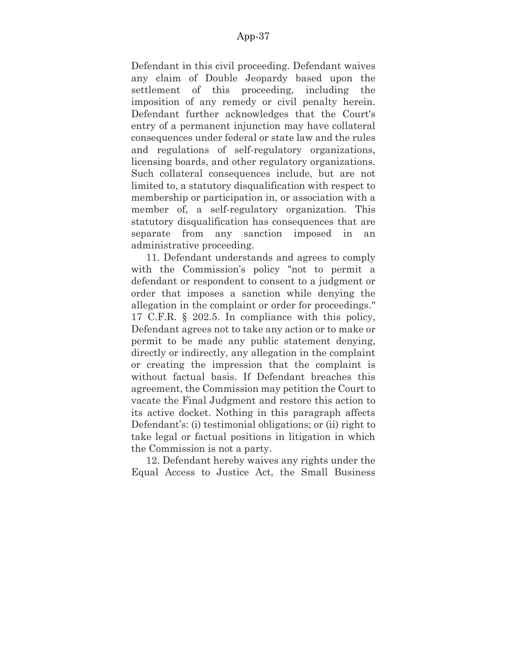Defendant in this civil proceeding. Defendant waives any claim of Double Jeopardy based upon the settlement of this proceeding, including the imposition of any remedy or civil penalty herein. Defendant further acknowledges that the Court's entry of a permanent injunction may have collateral consequences under federal or state law and the rules and regulations of self-regulatory organizations, licensing boards, and other regulatory organizations. Such collateral consequences include, but are not limited to, a statutory disqualification with respect to membership or participation in, or association with a member of, a self-regulatory organization. This statutory disqualification has consequences that are separate from any sanction imposed in an administrative proceeding.

11. Defendant understands and agrees to comply with the Commission's policy "not to permit a defendant or respondent to consent to a judgment or order that imposes a sanction while denying the allegation in the complaint or order for proceedings." 17 C.F.R. § 202.5. In compliance with this policy, Defendant agrees not to take any action or to make or permit to be made any public statement denying, directly or indirectly, any allegation in the complaint or creating the impression that the complaint is without factual basis. If Defendant breaches this agreement, the Commission may petition the Court to vacate the Final Judgment and restore this action to its active docket. Nothing in this paragraph affects Defendant's: (i) testimonial obligations; or (ii) right to take legal or factual positions in litigation in which the Commission is not a party.

12. Defendant hereby waives any rights under the Equal Access to Justice Act, the Small Business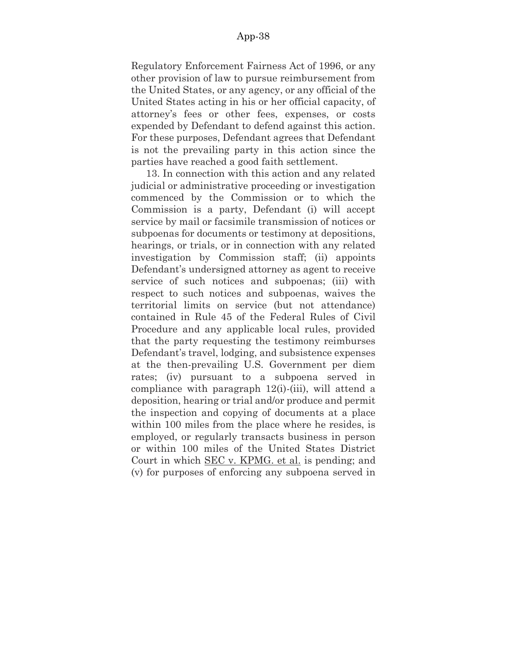Regulatory Enforcement Fairness Act of 1996, or any other provision of law to pursue reimbursement from the United States, or any agency, or any official of the United States acting in his or her official capacity, of attorney's fees or other fees, expenses, or costs expended by Defendant to defend against this action. For these purposes, Defendant agrees that Defendant is not the prevailing party in this action since the parties have reached a good faith settlement.

13. In connection with this action and any related judicial or administrative proceeding or investigation commenced by the Commission or to which the Commission is a party, Defendant (i) will accept service by mail or facsimile transmission of notices or subpoenas for documents or testimony at depositions, hearings, or trials, or in connection with any related investigation by Commission staff; (ii) appoints Defendant's undersigned attorney as agent to receive service of such notices and subpoenas; (iii) with respect to such notices and subpoenas, waives the territorial limits on service (but not attendance) contained in Rule 45 of the Federal Rules of Civil Procedure and any applicable local rules, provided that the party requesting the testimony reimburses Defendant's travel, lodging, and subsistence expenses at the then-prevailing U.S. Government per diem rates; (iv) pursuant to a subpoena served in compliance with paragraph 12(i)-(iii), will attend a deposition, hearing or trial and/or produce and permit the inspection and copying of documents at a place within 100 miles from the place where he resides, is employed, or regularly transacts business in person or within 100 miles of the United States District Court in which SEC v. KPMG. et al. is pending; and (v) for purposes of enforcing any subpoena served in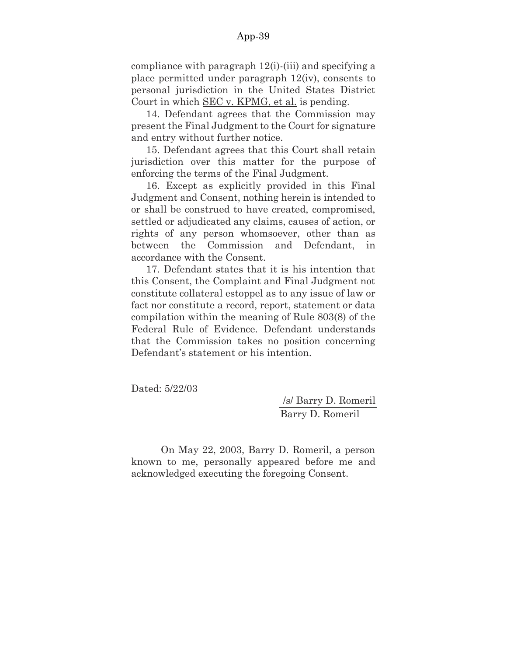compliance with paragraph 12(i)-(iii) and specifying a place permitted under paragraph 12(iv), consents to personal jurisdiction in the United States District Court in which SEC v. KPMG, et al. is pending.

14. Defendant agrees that the Commission may present the Final Judgment to the Court for signature and entry without further notice.

15. Defendant agrees that this Court shall retain jurisdiction over this matter for the purpose of enforcing the terms of the Final Judgment.

16. Except as explicitly provided in this Final Judgment and Consent, nothing herein is intended to or shall be construed to have created, compromised, settled or adjudicated any claims, causes of action, or rights of any person whomsoever, other than as between the Commission and Defendant, in accordance with the Consent.

17. Defendant states that it is his intention that this Consent, the Complaint and Final Judgment not constitute collateral estoppel as to any issue of law or fact nor constitute a record, report, statement or data compilation within the meaning of Rule 803(8) of the Federal Rule of Evidence. Defendant understands that the Commission takes no position concerning Defendant's statement or his intention.

Dated: 5/22/03

/s/ Barry D. Romeril Barry D. Romeril

On May 22, 2003, Barry D. Romeril, a person known to me, personally appeared before me and acknowledged executing the foregoing Consent.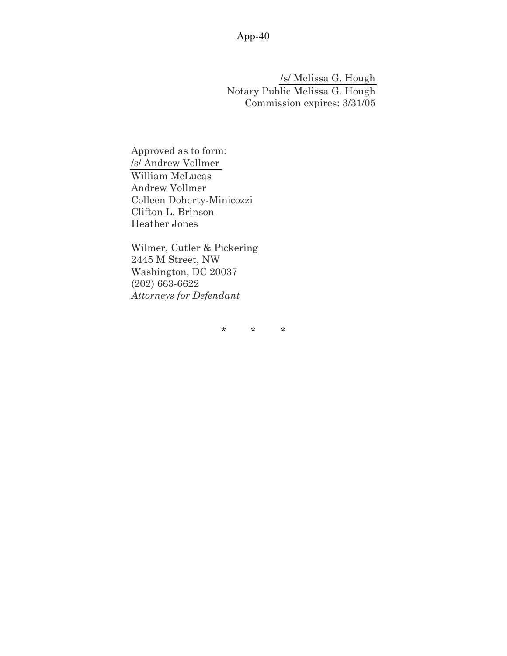/s/ Melissa G. Hough Notary Public Melissa G. Hough Commission expires: 3/31/05

Approved as to form: /s/ Andrew Vollmer William McLucas Andrew Vollmer Colleen Doherty-Minicozzi Clifton L. Brinson Heather Jones

Wilmer, Cutler & Pickering 2445 M Street, NW Washington, DC 20037 (202) 663-6622 *Attorneys for Defendant*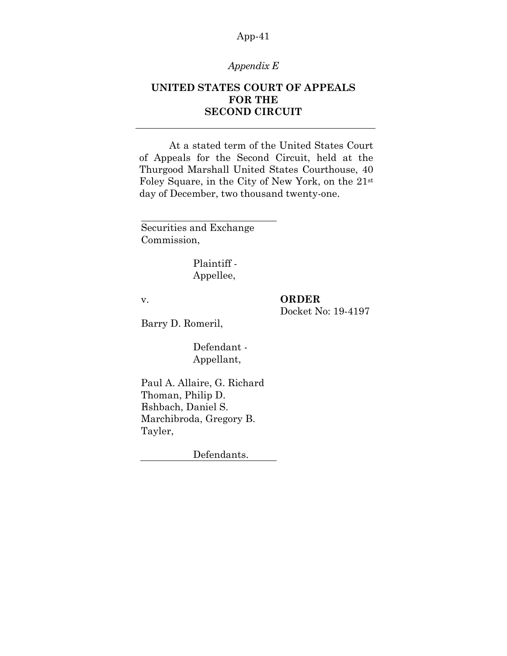# *Appendix E*

# **UNITED STATES COURT OF APPEALS FOR THE SECOND CIRCUIT**

At a stated term of the United States Court of Appeals for the Second Circuit, held at the Thurgood Marshall United States Courthouse, 40 Foley Square, in the City of New York, on the 21st day of December, two thousand twenty-one.

Securities and Exchange Commission,

> Plaintiff - Appellee,

v.

# **ORDER**

Docket No: 19-4197

Barry D. Romeril,

Defendant - Appellant,

Paul A. Allaire, G. Richard Thoman, Philip D. Fishbach, Daniel S. Marchibroda, Gregory B. Tayler,

Defendants.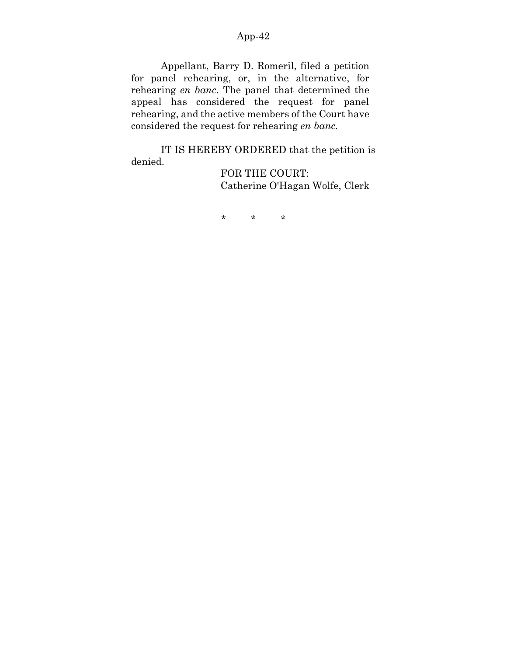Appellant, Barry D. Romeril, filed a petition for panel rehearing, or, in the alternative, for rehearing *en banc*. The panel that determined the appeal has considered the request for panel rehearing, and the active members of the Court have considered the request for rehearing *en banc.*

IT IS HEREBY ORDERED that the petition is denied.

FOR THE COURT: Catherine O'Hagan Wolfe, Clerk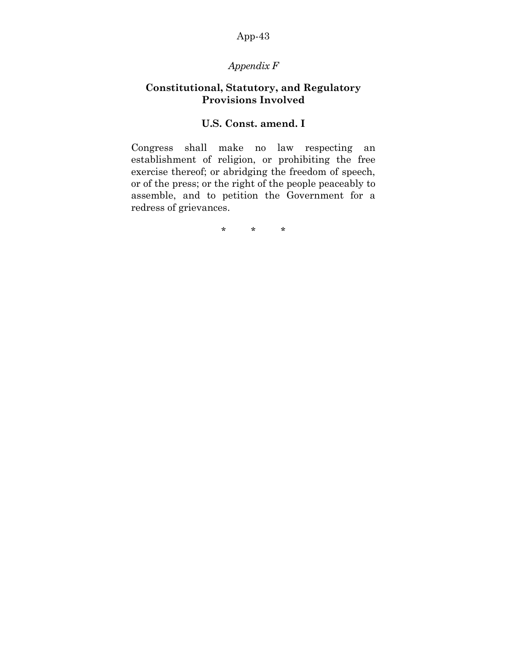# *Appendix F*

# **Constitutional, Statutory, and Regulatory Provisions Involved**

# **U.S. Const. amend. I**

Congress shall make no law respecting an establishment of religion, or prohibiting the free exercise thereof; or abridging the freedom of speech, or of the press; or the right of the people peaceably to assemble, and to petition the Government for a redress of grievances.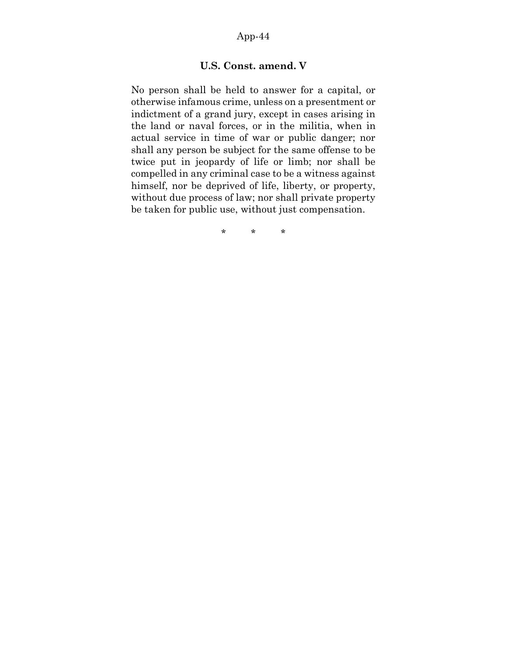# **U.S. Const. amend. V**

No person shall be held to answer for a capital, or otherwise infamous crime, unless on a presentment or indictment of a grand jury, except in cases arising in the land or naval forces, or in the militia, when in actual service in time of war or public danger; nor shall any person be subject for the same offense to be twice put in jeopardy of life or limb; nor shall be compelled in any criminal case to be a witness against himself, nor be deprived of life, liberty, or property, without due process of law; nor shall private property be taken for public use, without just compensation.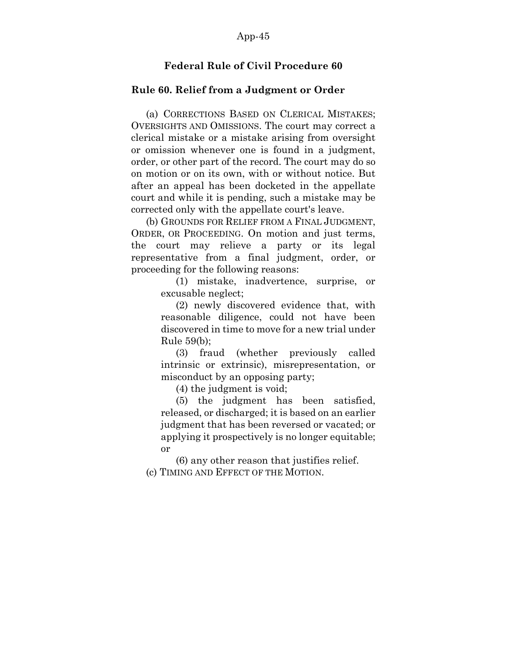# **Federal Rule of Civil Procedure 60**

#### **Rule 60. Relief from a Judgment or Order**

(a) CORRECTIONS BASED ON CLERICAL MISTAKES; OVERSIGHTS AND OMISSIONS. The court may correct a clerical mistake or a mistake arising from oversight or omission whenever one is found in a judgment, order, or other part of the record. The court may do so on motion or on its own, with or without notice. But after an appeal has been docketed in the appellate court and while it is pending, such a mistake may be corrected only with the appellate court's leave.

(b) GROUNDS FOR RELIEF FROM A FINAL JUDGMENT, ORDER, OR PROCEEDING. On motion and just terms, the court may relieve a party or its legal representative from a final judgment, order, or proceeding for the following reasons:

> (1) mistake, inadvertence, surprise, or excusable neglect;

> (2) newly discovered evidence that, with reasonable diligence, could not have been discovered in time to move for a new trial under Rule 59(b);

> (3) fraud (whether previously called intrinsic or extrinsic), misrepresentation, or misconduct by an opposing party;

(4) the judgment is void;

(5) the judgment has been satisfied, released, or discharged; it is based on an earlier judgment that has been reversed or vacated; or applying it prospectively is no longer equitable; or

(6) any other reason that justifies relief. (c) TIMING AND EFFECT OF THE MOTION.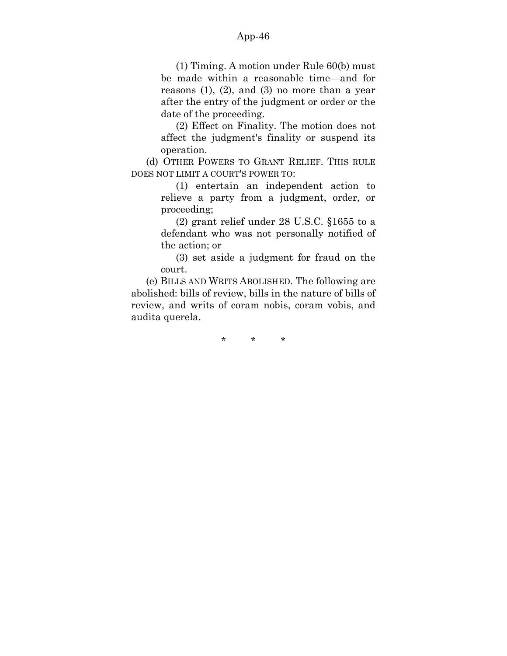(1) Timing. A motion under Rule 60(b) must be made within a reasonable time—and for reasons  $(1)$ ,  $(2)$ , and  $(3)$  no more than a year after the entry of the judgment or order or the date of the proceeding.

(2) Effect on Finality. The motion does not affect the judgment's finality or suspend its operation.

(d) OTHER POWERS TO GRANT RELIEF. THIS RULE DOES NOT LIMIT A COURT'S POWER TO:

> (1) entertain an independent action to relieve a party from a judgment, order, or proceeding;

> (2) grant relief under 28 U.S.C. §1655 to a defendant who was not personally notified of the action; or

> (3) set aside a judgment for fraud on the court.

(e) BILLS AND WRITS ABOLISHED. The following are abolished: bills of review, bills in the nature of bills of review, and writs of coram nobis, coram vobis, and audita querela.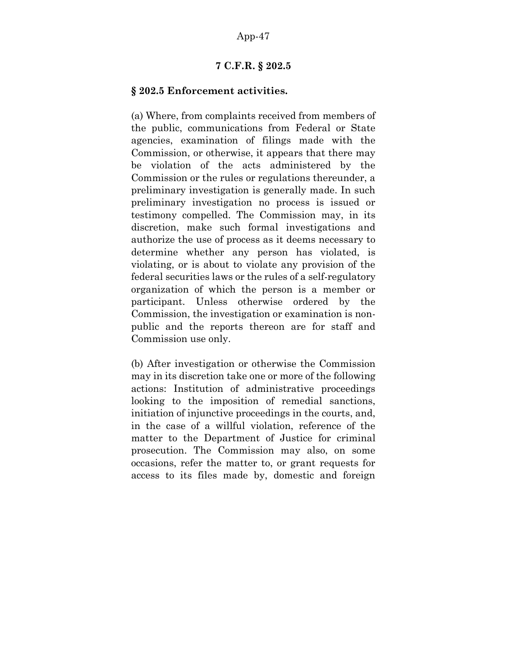### **7 C.F.R. § 202.5**

#### **§ 202.5 Enforcement activities.**

(a) Where, from complaints received from members of the public, communications from Federal or State agencies, examination of filings made with the Commission, or otherwise, it appears that there may be violation of the acts administered by the Commission or the rules or regulations thereunder, a preliminary investigation is generally made. In such preliminary investigation no process is issued or testimony compelled. The Commission may, in its discretion, make such formal investigations and authorize the use of process as it deems necessary to determine whether any person has violated, is violating, or is about to violate any provision of the federal securities laws or the rules of a self-regulatory organization of which the person is a member or participant. Unless otherwise ordered by the Commission, the investigation or examination is nonpublic and the reports thereon are for staff and Commission use only.

(b) After investigation or otherwise the Commission may in its discretion take one or more of the following actions: Institution of administrative proceedings looking to the imposition of remedial sanctions, initiation of injunctive proceedings in the courts, and, in the case of a willful violation, reference of the matter to the Department of Justice for criminal prosecution. The Commission may also, on some occasions, refer the matter to, or grant requests for access to its files made by, domestic and foreign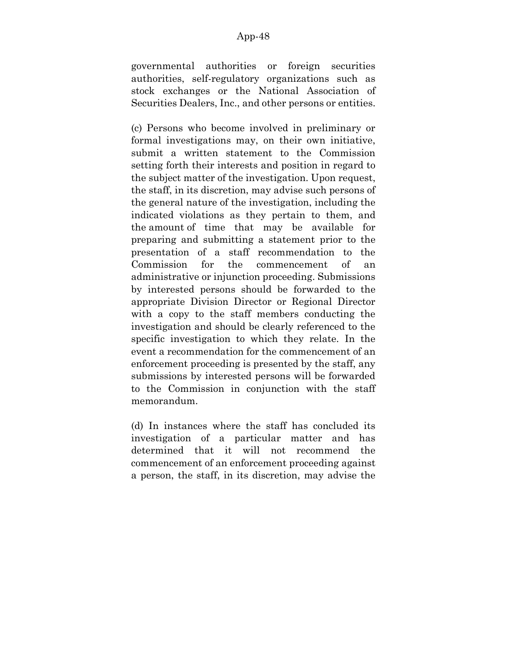governmental authorities or foreign securities authorities, self-regulatory organizations such as stock exchanges or the National Association of Securities Dealers, Inc., and other persons or entities.

(c) Persons who become involved in preliminary or formal investigations may, on their own initiative, submit a written statement to the Commission setting forth their interests and position in regard to the subject matter of the investigation. Upon request, the staff, in its discretion, may advise such persons of the general nature of the investigation, including the indicated violations as they pertain to them, and the amount of time that may be available for preparing and submitting a statement prior to the presentation of a staff recommendation to the Commission for the commencement of an administrative or injunction proceeding. Submissions by interested persons should be forwarded to the appropriate Division Director or Regional Director with a copy to the staff members conducting the investigation and should be clearly referenced to the specific investigation to which they relate. In the event a recommendation for the commencement of an enforcement proceeding is presented by the staff, any submissions by interested persons will be forwarded to the Commission in conjunction with the staff memorandum.

(d) In instances where the staff has concluded its investigation of a particular matter and has determined that it will not recommend the commencement of an enforcement proceeding against a person, the staff, in its discretion, may advise the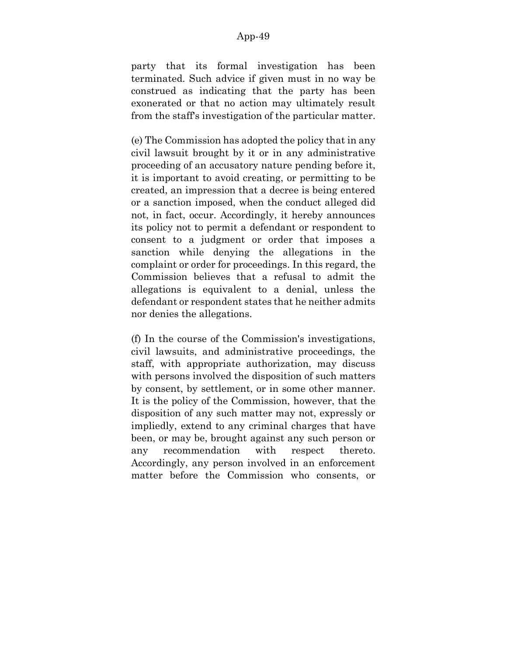party that its formal investigation has been terminated. Such advice if given must in no way be construed as indicating that the party has been exonerated or that no action may ultimately result from the staff's investigation of the particular matter.

(e) The Commission has adopted the policy that in any civil lawsuit brought by it or in any administrative proceeding of an accusatory nature pending before it, it is important to avoid creating, or permitting to be created, an impression that a decree is being entered or a sanction imposed, when the conduct alleged did not, in fact, occur. Accordingly, it hereby announces its policy not to permit a defendant or respondent to consent to a judgment or order that imposes a sanction while denying the allegations in the complaint or order for proceedings. In this regard, the Commission believes that a refusal to admit the allegations is equivalent to a denial, unless the defendant or respondent states that he neither admits nor denies the allegations.

(f) In the course of the Commission's investigations, civil lawsuits, and administrative proceedings, the staff, with appropriate authorization, may discuss with persons involved the disposition of such matters by consent, by settlement, or in some other manner. It is the policy of the Commission, however, that the disposition of any such matter may not, expressly or impliedly, extend to any criminal charges that have been, or may be, brought against any such person or any recommendation with respect thereto. Accordingly, any person involved in an enforcement matter before the Commission who consents, or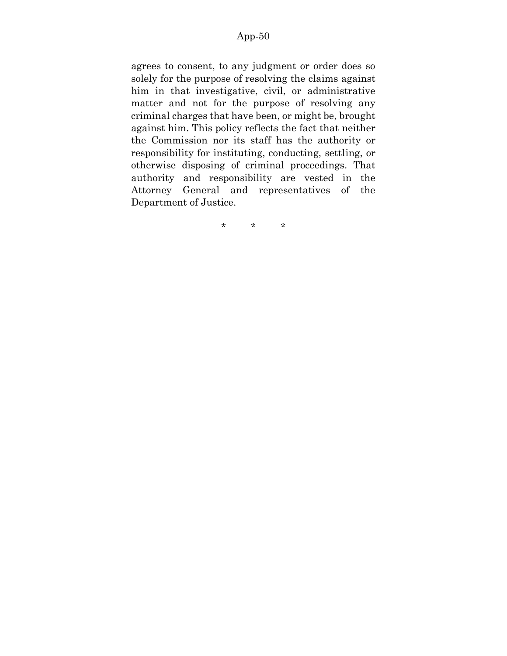agrees to consent, to any judgment or order does so solely for the purpose of resolving the claims against him in that investigative, civil, or administrative matter and not for the purpose of resolving any criminal charges that have been, or might be, brought against him. This policy reflects the fact that neither the Commission nor its staff has the authority or responsibility for instituting, conducting, settling, or otherwise disposing of criminal proceedings. That authority and responsibility are vested in the Attorney General and representatives of the Department of Justice.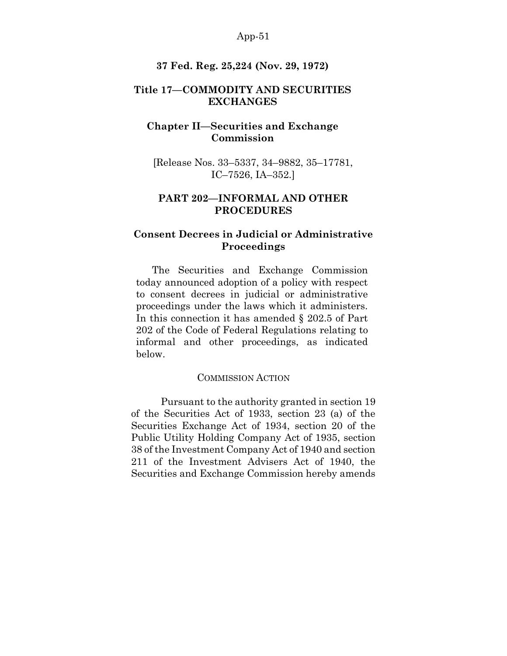#### **37 Fed. Reg. 25,224 (Nov. 29, 1972)**

# **Title 17—COMMODITY AND SECURITIES EXCHANGES**

# **Chapter II—Securities and Exchange Commission**

[Release Nos. 33–5337, 34–9882, 35–17781, IC–7526, IA–352.]

# **PART 202—INFORMAL AND OTHER PROCEDURES**

# **Consent Decrees in Judicial or Administrative Proceedings**

The Securities and Exchange Commission today announced adoption of a policy with respect to consent decrees in judicial or administrative proceedings under the laws which it administers. In this connection it has amended § 202.5 of Part 202 of the Code of Federal Regulations relating to informal and other proceedings, as indicated below.

#### COMMISSION ACTION

Pursuant to the authority granted in section 19 of the Securities Act of 1933, section 23 (a) of the Securities Exchange Act of 1934, section 20 of the Public Utility Holding Company Act of 1935, section 38 of the Investment Company Act of 1940 and section 211 of the Investment Advisers Act of 1940, the Securities and Exchange Commission hereby amends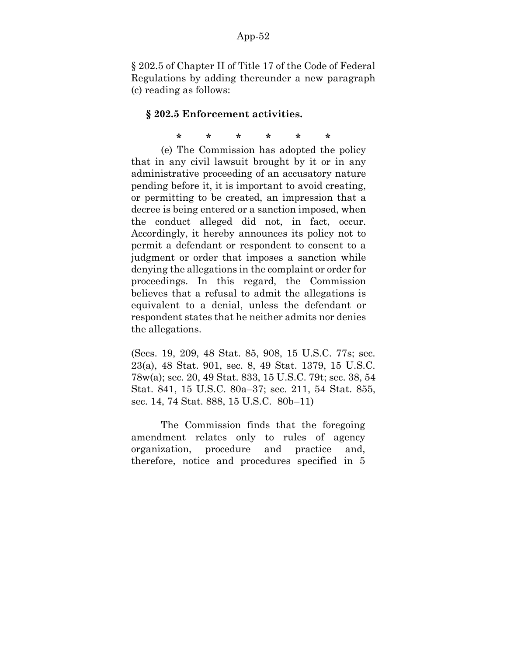§ 202.5 of Chapter II of Title 17 of the Code of Federal Regulations by adding thereunder a new paragraph (c) reading as follows:

#### **§ 202.5 Enforcement activities.**

**\* \* \* \* \* \***

(e) The Commission has adopted the policy that in any civil lawsuit brought by it or in any administrative proceeding of an accusatory nature pending before it, it is important to avoid creating, or permitting to be created, an impression that a decree is being entered or a sanction imposed, when the conduct alleged did not, in fact, occur. Accordingly, it hereby announces its policy not to permit a defendant or respondent to consent to a judgment or order that imposes a sanction while denying the allegations in the complaint or order for proceedings. In this regard, the Commission believes that a refusal to admit the allegations is equivalent to a denial, unless the defendant or respondent states that he neither admits nor denies the allegations.

(Secs. 19, 209, 48 Stat. 85, 908, 15 U.S.C. 77s; sec. 23(a), 48 Stat. 901, sec. 8, 49 Stat. 1379, 15 U.S.C. 78w(a); sec. 20, 49 Stat. 833, 15 U.S.C. 79t; sec. 38, 54 Stat. 841, 15 U.S.C. 80a–37; sec. 211, 54 Stat. 855, sec. 14, 74 Stat. 888, 15 U.S.C. 80b–11)

The Commission finds that the foregoing amendment relates only to rules of agency organization, procedure and practice and, therefore, notice and procedures specified in 5